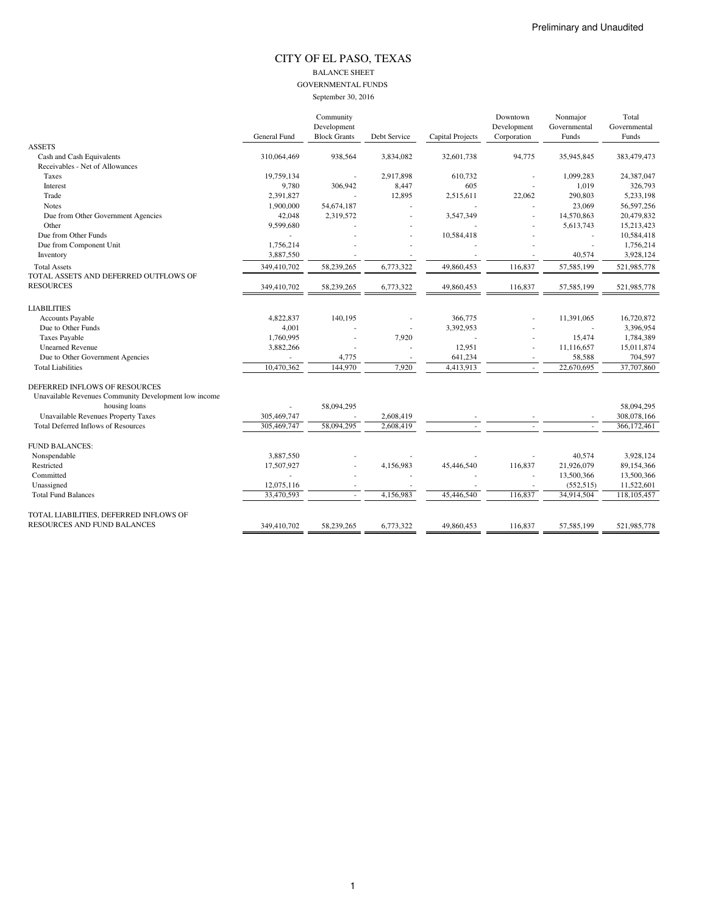#### CITY OF EL PASO, TEXAS BALANCE SHEET GOVERNMENTAL FUNDS September 30, 2016

|                                                       |              | Community           |              |                         | Downtown    | Nonmajor     | Total        |
|-------------------------------------------------------|--------------|---------------------|--------------|-------------------------|-------------|--------------|--------------|
|                                                       |              | Development         |              |                         | Development | Governmental | Governmental |
|                                                       | General Fund | <b>Block Grants</b> | Debt Service | <b>Capital Projects</b> | Corporation | Funds        | Funds        |
| <b>ASSETS</b>                                         |              |                     |              |                         |             |              |              |
| Cash and Cash Equivalents                             | 310,064,469  | 938,564             | 3,834,082    | 32,601,738              | 94,775      | 35,945,845   | 383,479,473  |
| Receivables - Net of Allowances                       |              |                     |              |                         |             |              |              |
| Taxes                                                 | 19,759,134   |                     | 2,917,898    | 610,732                 |             | 1,099,283    | 24,387,047   |
| Interest                                              | 9,780        | 306,942             | 8,447        | 605                     |             | 1,019        | 326,793      |
| Trade                                                 | 2,391,827    |                     | 12,895       | 2,515,611               | 22,062      | 290,803      | 5,233,198    |
| <b>Notes</b>                                          | 1,900,000    | 54,674,187          |              |                         |             | 23,069       | 56,597,256   |
| Due from Other Government Agencies                    | 42,048       | 2,319,572           |              | 3,547,349               |             | 14,570,863   | 20,479,832   |
| Other                                                 | 9,599,680    |                     |              |                         |             | 5,613,743    | 15,213,423   |
| Due from Other Funds                                  |              |                     |              | 10,584,418              |             |              | 10,584,418   |
| Due from Component Unit                               | 1,756,214    |                     |              |                         |             |              | 1,756,214    |
| Inventory                                             | 3,887,550    |                     |              |                         |             | 40,574       | 3,928,124    |
| <b>Total Assets</b>                                   | 349,410,702  | 58,239,265          | 6,773,322    | 49,860,453              | 116,837     | 57,585,199   | 521,985,778  |
| TOTAL ASSETS AND DEFERRED OUTFLOWS OF                 |              |                     |              |                         |             |              |              |
| <b>RESOURCES</b>                                      | 349,410,702  | 58,239,265          | 6,773,322    | 49,860,453              | 116,837     | 57,585,199   | 521,985,778  |
| <b>LIABILITIES</b>                                    |              |                     |              |                         |             |              |              |
| Accounts Payable                                      | 4,822,837    | 140,195             |              | 366,775                 |             | 11,391,065   | 16,720,872   |
| Due to Other Funds                                    | 4,001        |                     |              | 3,392,953               |             |              | 3,396,954    |
| <b>Taxes Payable</b>                                  | 1,760,995    |                     | 7,920        |                         |             | 15,474       | 1,784,389    |
| <b>Unearned Revenue</b>                               | 3,882,266    |                     |              | 12,951                  | ٠           | 11,116,657   | 15,011,874   |
| Due to Other Government Agencies                      |              | 4,775               |              | 641,234                 | $\sim$      | 58,588       | 704,597      |
| <b>Total Liabilities</b>                              | 10,470,362   | 144,970             | 7,920        | 4,413,913               | $\sim$      | 22,670,695   | 37,707,860   |
| DEFERRED INFLOWS OF RESOURCES                         |              |                     |              |                         |             |              |              |
| Unavailable Revenues Community Development low income |              |                     |              |                         |             |              |              |
| housing loans                                         |              | 58,094,295          |              |                         |             |              | 58,094,295   |
| Unavailable Revenues Property Taxes                   | 305,469,747  |                     | 2,608,419    |                         |             |              | 308,078,166  |
| <b>Total Deferred Inflows of Resources</b>            | 305,469,747  | 58,094,295          | 2,608,419    |                         |             |              | 366,172,461  |
|                                                       |              |                     |              |                         |             |              |              |
| <b>FUND BALANCES:</b>                                 |              |                     |              |                         |             |              |              |
| Nonspendable                                          | 3,887,550    |                     |              |                         |             | 40.574       | 3,928,124    |
| Restricted                                            | 17,507,927   |                     | 4,156,983    | 45,446,540              | 116,837     | 21,926,079   | 89,154,366   |
| Committed                                             |              |                     |              |                         |             | 13,500,366   | 13,500,366   |
| Unassigned                                            | 12,075,116   |                     |              |                         |             | (552, 515)   | 11,522,601   |
| <b>Total Fund Balances</b>                            | 33,470,593   |                     | 4,156,983    | 45,446,540              | 116,837     | 34,914,504   | 118,105,457  |
| TOTAL LIABILITIES, DEFERRED INFLOWS OF                |              |                     |              |                         |             |              |              |
| RESOURCES AND FUND BALANCES                           | 349,410,702  | 58,239,265          | 6,773,322    | 49,860,453              | 116,837     | 57,585,199   | 521,985,778  |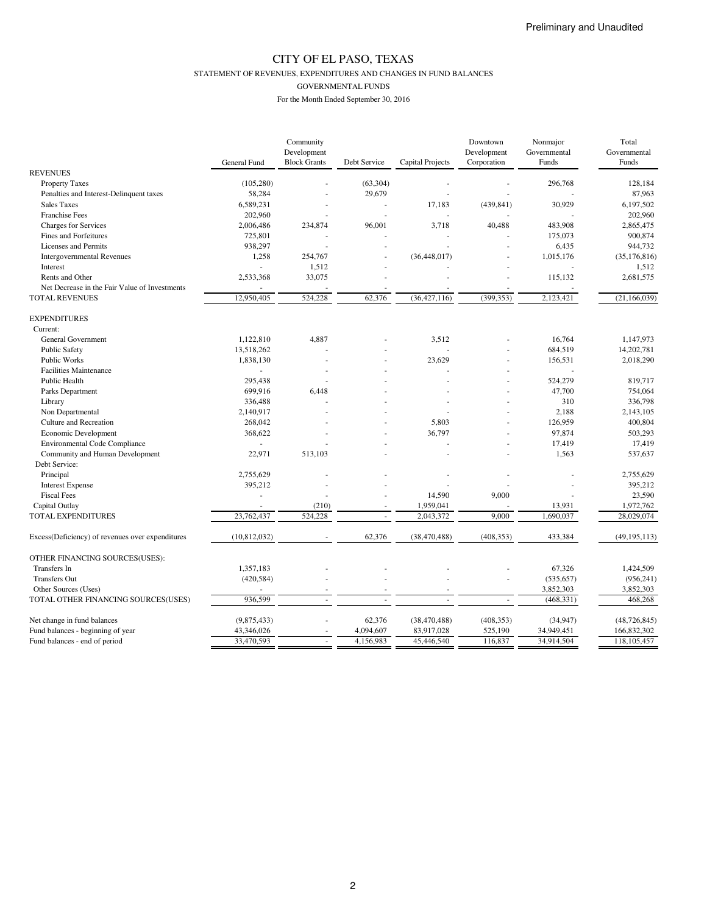STATEMENT OF REVENUES, EXPENDITURES AND CHANGES IN FUND BALANCES

GOVERNMENTAL FUNDS

|                                                  |                | Community           |                          |                  | Downtown    | Nonmajor     | Total          |
|--------------------------------------------------|----------------|---------------------|--------------------------|------------------|-------------|--------------|----------------|
|                                                  |                | Development         |                          |                  | Development | Governmental | Governmental   |
|                                                  | General Fund   | <b>Block Grants</b> | Debt Service             | Capital Projects | Corporation | Funds        | Funds          |
| <b>REVENUES</b>                                  |                |                     |                          |                  |             |              |                |
| <b>Property Taxes</b>                            | (105, 280)     |                     | (63, 304)                |                  |             | 296,768      | 128,184        |
| Penalties and Interest-Delinquent taxes          | 58,284         |                     | 29,679                   |                  |             |              | 87,963         |
| <b>Sales Taxes</b>                               | 6,589,231      |                     |                          | 17,183           | (439, 841)  | 30,929       | 6,197,502      |
| <b>Franchise Fees</b>                            | 202,960        |                     |                          |                  |             |              | 202,960        |
| <b>Charges for Services</b>                      | 2,006,486      | 234,874             | 96,001                   | 3,718            | 40,488      | 483,908      | 2,865,475      |
| Fines and Forfeitures                            | 725,801        |                     |                          |                  |             | 175,073      | 900,874        |
| Licenses and Permits                             | 938,297        |                     |                          |                  |             | 6,435        | 944,732        |
| <b>Intergovernmental Revenues</b>                | 1,258          | 254,767             |                          | (36, 448, 017)   |             | 1,015,176    | (35, 176, 816) |
| Interest                                         |                | 1,512               |                          |                  |             |              | 1,512          |
| Rents and Other                                  | 2,533,368      | 33,075              |                          |                  |             | 115,132      | 2,681,575      |
| Net Decrease in the Fair Value of Investments    |                |                     |                          |                  |             |              |                |
| <b>TOTAL REVENUES</b>                            | 12,950,405     | 524,228             | 62,376                   | (36, 427, 116)   | (399, 353)  | 2,123,421    | (21, 166, 039) |
|                                                  |                |                     |                          |                  |             |              |                |
| <b>EXPENDITURES</b>                              |                |                     |                          |                  |             |              |                |
| Current:                                         |                |                     |                          |                  |             |              |                |
| <b>General Government</b>                        | 1,122,810      | 4,887               |                          | 3.512            |             | 16.764       | 1,147,973      |
|                                                  | 13,518,262     |                     |                          |                  |             |              |                |
| Public Safety                                    |                |                     |                          |                  |             | 684,519      | 14,202,781     |
| <b>Public Works</b>                              | 1,838,130      |                     |                          | 23,629           |             | 156,531      | 2,018,290      |
| <b>Facilities Maintenance</b>                    | L.             |                     |                          |                  |             |              |                |
| Public Health                                    | 295,438        |                     |                          |                  |             | 524,279      | 819,717        |
| Parks Department                                 | 699,916        | 6,448               |                          |                  |             | 47,700       | 754,064        |
| Library                                          | 336,488        |                     |                          |                  |             | 310          | 336,798        |
| Non Departmental                                 | 2,140,917      |                     |                          |                  |             | 2,188        | 2,143,105      |
| Culture and Recreation                           | 268,042        |                     |                          | 5,803            |             | 126,959      | 400,804        |
| Economic Development                             | 368,622        |                     |                          | 36,797           |             | 97,874       | 503,293        |
| <b>Environmental Code Compliance</b>             |                |                     |                          |                  |             | 17,419       | 17,419         |
| Community and Human Development                  | 22,971         | 513,103             |                          |                  |             | 1,563        | 537,637        |
| Debt Service:                                    |                |                     |                          |                  |             |              |                |
| Principal                                        | 2,755,629      |                     |                          |                  |             |              | 2,755,629      |
| <b>Interest Expense</b>                          | 395,212        |                     |                          |                  |             |              | 395,212        |
| <b>Fiscal Fees</b>                               |                |                     |                          | 14,590           | 9,000       |              | 23,590         |
| Capital Outlay                                   |                | (210)               |                          | 1,959,041        |             | 13,931       | 1,972,762      |
| TOTAL EXPENDITURES                               | 23,762,437     | 524,228             |                          | 2,043,372        | 9,000       | 1,690,037    | 28,029,074     |
|                                                  |                |                     |                          |                  |             |              |                |
| Excess(Deficiency) of revenues over expenditures | (10, 812, 032) |                     | 62,376                   | (38, 470, 488)   | (408, 353)  | 433,384      | (49, 195, 113) |
| OTHER FINANCING SOURCES(USES):                   |                |                     |                          |                  |             |              |                |
| Transfers In                                     | 1,357,183      |                     |                          |                  |             | 67,326       | 1,424,509      |
| <b>Transfers Out</b>                             | (420, 584)     |                     |                          |                  |             | (535, 657)   | (956, 241)     |
| Other Sources (Uses)                             |                |                     |                          |                  |             | 3,852,303    | 3,852,303      |
|                                                  | 936,599        |                     |                          |                  |             |              |                |
| TOTAL OTHER FINANCING SOURCES(USES)              |                |                     | $\overline{\phantom{a}}$ |                  |             | (468, 331)   | 468,268        |
| Net change in fund balances                      | (9,875,433)    |                     | 62,376                   | (38, 470, 488)   | (408, 353)  | (34, 947)    | (48, 726, 845) |
| Fund balances - beginning of year                | 43,346,026     |                     | 4,094,607                | 83,917,028       | 525,190     | 34,949,451   | 166,832,302    |
| Fund balances - end of period                    | 33,470,593     |                     | 4,156,983                | 45,446,540       | 116,837     | 34,914,504   | 118,105,457    |
|                                                  |                |                     |                          |                  |             |              |                |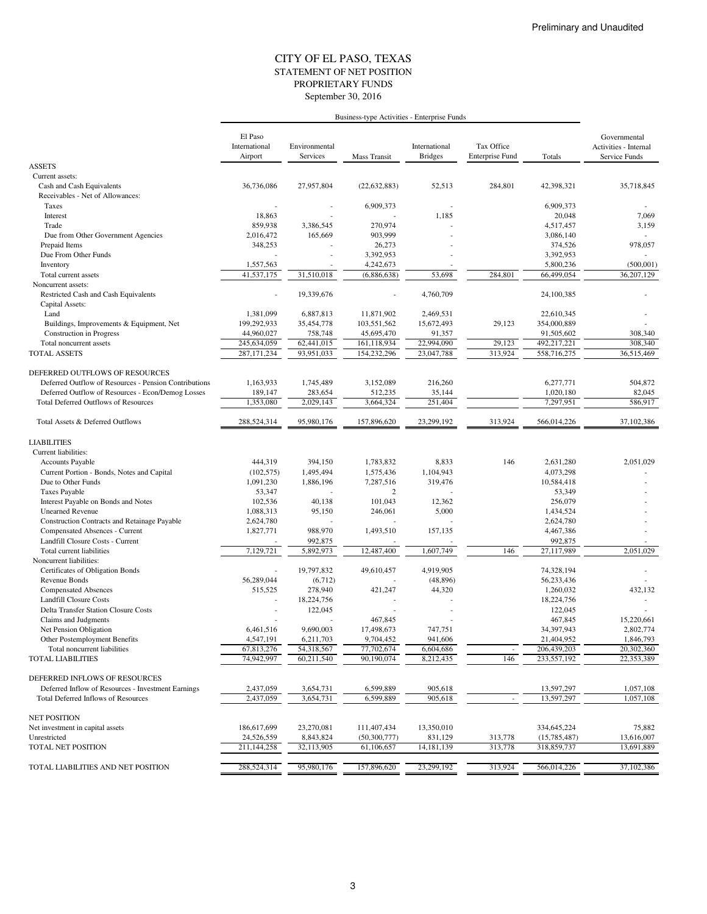#### STATEMENT OF NET POSITION CITY OF EL PASO, TEXAS September 30, 2016 PROPRIETARY FUNDS

|                                                                                                  | Business-type Activities - Enterprise Funds |                           |                         |                                 |                                      |                          |                                                        |
|--------------------------------------------------------------------------------------------------|---------------------------------------------|---------------------------|-------------------------|---------------------------------|--------------------------------------|--------------------------|--------------------------------------------------------|
|                                                                                                  | El Paso<br>International<br>Airport         | Environmental<br>Services | Mass Transit            | International<br><b>Bridges</b> | Tax Office<br><b>Enterprise Fund</b> | Totals                   | Governmental<br>Activities - Internal<br>Service Funds |
| <b>ASSETS</b>                                                                                    |                                             |                           |                         |                                 |                                      |                          |                                                        |
| Current assets:                                                                                  |                                             |                           |                         |                                 |                                      |                          |                                                        |
| Cash and Cash Equivalents                                                                        | 36,736,086                                  | 27,957,804                | (22, 632, 883)          | 52,513                          | 284,801                              | 42,398,321               | 35,718,845                                             |
| Receivables - Net of Allowances:<br>Taxes                                                        |                                             |                           | 6,909,373               |                                 |                                      | 6,909,373                |                                                        |
| Interest                                                                                         | 18,863                                      |                           |                         | 1,185                           |                                      | 20,048                   | 7,069                                                  |
| Trade                                                                                            | 859,938                                     | 3,386,545                 | 270,974                 |                                 |                                      | 4,517,457                | 3,159                                                  |
| Due from Other Government Agencies                                                               | 2,016,472                                   | 165,669                   | 903,999                 |                                 |                                      | 3,086,140                |                                                        |
| Prepaid Items                                                                                    | 348,253                                     |                           | 26,273                  |                                 |                                      | 374,526                  | 978,057                                                |
| Due From Other Funds                                                                             |                                             |                           | 3,392,953               |                                 |                                      | 3,392,953                |                                                        |
| Inventory                                                                                        | 1,557,563                                   |                           | 4,242,673               |                                 |                                      | 5,800,236                | (500, 001)                                             |
| Total current assets                                                                             | 41,537,175                                  | 31,510,018                | (6,886,638)             | 53,698                          | 284,801                              | 66,499,054               | 36,207,129                                             |
| Noncurrent assets:                                                                               |                                             |                           |                         | 4,760,709                       |                                      | 24,100,385               |                                                        |
| Restricted Cash and Cash Equivalents<br>Capital Assets:                                          |                                             | 19,339,676                |                         |                                 |                                      |                          |                                                        |
| Land                                                                                             | 1,381,099                                   | 6,887,813                 | 11,871,902              | 2,469,531                       |                                      | 22,610,345               |                                                        |
| Buildings, Improvements & Equipment, Net                                                         | 199,292,933                                 | 35,454,778                | 103,551,562             | 15,672,493                      | 29,123                               | 354,000,889              |                                                        |
| <b>Construction</b> in Progress                                                                  | 44,960,027                                  | 758,748                   | 45,695,470              | 91,357                          |                                      | 91,505,602               | 308,340                                                |
| Total noncurrent assets                                                                          | 245,634,059                                 | 62,441,015                | 161,118,934             | 22,994,090                      | 29,123                               | 492,217,221              | 308,340                                                |
| <b>TOTAL ASSETS</b>                                                                              | 287, 171, 234                               | 93,951,033                | 154,232,296             | 23,047,788                      | 313,924                              | 558,716,275              | 36,515,469                                             |
|                                                                                                  |                                             |                           |                         |                                 |                                      |                          |                                                        |
| DEFERRED OUTFLOWS OF RESOURCES                                                                   |                                             |                           |                         |                                 |                                      |                          |                                                        |
| Deferred Outflow of Resources - Pension Contributions                                            | 1,163,933<br>189,147                        | 1,745,489                 | 3,152,089               | 216,260                         |                                      | 6,277,771<br>1,020,180   | 504,872                                                |
| Deferred Outflow of Resources - Econ/Demog Losses<br><b>Total Deferred Outflows of Resources</b> | 1,353,080                                   | 283,654<br>2,029,143      | 512,235<br>3,664,324    | 35,144<br>251,404               |                                      | 7,297,951                | 82,045<br>586,917                                      |
|                                                                                                  |                                             |                           |                         |                                 |                                      |                          |                                                        |
| Total Assets & Deferred Outflows                                                                 | 288,524,314                                 | 95,980,176                | 157,896,620             | 23,299,192                      | 313,924                              | 566,014,226              | 37,102,386                                             |
| <b>LIABILITIES</b>                                                                               |                                             |                           |                         |                                 |                                      |                          |                                                        |
| Current liabilities:                                                                             |                                             |                           |                         |                                 |                                      |                          |                                                        |
| <b>Accounts Payable</b>                                                                          | 444,319                                     | 394,150                   | 1,783,832               | 8,833                           | 146                                  | 2,631,280                | 2,051,029                                              |
| Current Portion - Bonds, Notes and Capital                                                       | (102, 575)                                  | 1,495,494                 | 1,575,436               | 1,104,943                       |                                      | 4,073,298                |                                                        |
| Due to Other Funds                                                                               | 1,091,230                                   | 1,886,196                 | 7,287,516               | 319,476                         |                                      | 10,584,418               |                                                        |
| <b>Taxes Payable</b>                                                                             | 53,347                                      |                           | 2                       |                                 |                                      | 53,349                   |                                                        |
| Interest Payable on Bonds and Notes                                                              | 102,536                                     | 40,138                    | 101,043                 | 12,362                          |                                      | 256,079                  |                                                        |
| <b>Unearned Revenue</b>                                                                          | 1,088,313<br>2,624,780                      | 95,150                    | 246,061                 | 5,000                           |                                      | 1,434,524<br>2,624,780   |                                                        |
| Construction Contracts and Retainage Payable<br>Compensated Absences - Current                   | 1,827,771                                   | 988,970                   | 1,493,510               | 157,135                         |                                      | 4,467,386                |                                                        |
| Landfill Closure Costs - Current                                                                 |                                             | 992,875                   |                         |                                 |                                      | 992,875                  |                                                        |
| Total current liabilities                                                                        | 7,129,721                                   | 5,892,973                 | 12,487,400              | 1,607,749                       | 146                                  | 27,117,989               | 2,051,029                                              |
| Noncurrent liabilities:                                                                          |                                             |                           |                         |                                 |                                      |                          |                                                        |
| Certificates of Obligation Bonds                                                                 |                                             | 19,797,832                | 49,610,457              | 4.919.905                       |                                      | 74,328,194               |                                                        |
| <b>Revenue Bonds</b>                                                                             | 56,289,044                                  | (6,712)                   |                         | (48, 896)                       |                                      | 56,233,436               |                                                        |
| <b>Compensated Absences</b>                                                                      | 515,525                                     | 278,940                   | 421,247                 | 44,320                          |                                      | 1.260.032                | 432,132                                                |
| <b>Landfill Closure Costs</b>                                                                    |                                             | 18,224,756                |                         |                                 |                                      | 18,224,756               |                                                        |
| <b>Delta Transfer Station Closure Costs</b>                                                      |                                             | 122,045                   |                         |                                 |                                      | 122,045                  |                                                        |
| Claims and Judgments                                                                             | 6,461,516                                   | 9,690,003                 | 467,845                 |                                 |                                      | 467,845                  | 15,220,661                                             |
| Net Pension Obligation<br>Other Postemployment Benefits                                          | 4,547,191                                   | 6,211,703                 | 17,498,673<br>9,704,452 | 747,751<br>941,606              |                                      | 34,397,943<br>21,404,952 | 2,802,774<br>1,846,793                                 |
| Total noncurrent liabilities                                                                     | 67,813,276                                  | 54,318,567                | 77,702,674              | 6,604,686                       |                                      | 206,439,203              | 20,302,360                                             |
| <b>TOTAL LIABILITIES</b>                                                                         | 74,942,997                                  | 60,211,540                | 90,190,074              | 8,212,435                       | 146                                  | 233,557,192              | 22,353,389                                             |
| DEFERRED INFLOWS OF RESOURCES                                                                    |                                             |                           |                         |                                 |                                      |                          |                                                        |
| Deferred Inflow of Resources - Investment Earnings                                               | 2,437,059                                   | 3,654,731                 | 6,599,889               | 905,618                         |                                      | 13,597,297               | 1,057,108                                              |
| Total Deferred Inflows of Resources                                                              | 2,437,059                                   | 3,654,731                 | 6,599,889               | 905,618                         |                                      | 13,597,297               | 1,057,108                                              |
| <b>NET POSITION</b>                                                                              |                                             |                           |                         |                                 |                                      |                          |                                                        |
| Net investment in capital assets                                                                 | 186,617,699                                 | 23,270,081                | 111,407,434             | 13,350,010                      |                                      | 334,645,224              | 75,882                                                 |
| Unrestricted                                                                                     | 24,526,559                                  | 8,843,824                 | (50, 300, 777)          | 831,129                         | 313,778                              | (15,785,487)             | 13,616,007                                             |
| TOTAL NET POSITION                                                                               | 211,144,258                                 | 32,113,905                | 61,106,657              | 14, 181, 139                    | 313,778                              | 318,859,737              | 13,691,889                                             |
|                                                                                                  |                                             |                           |                         |                                 |                                      |                          |                                                        |
| TOTAL LIABILITIES AND NET POSITION                                                               | 288,524,314                                 | 95,980,176                | 157,896,620             | 23,299,192                      | 313,924                              | 566,014,226              | 37,102,386                                             |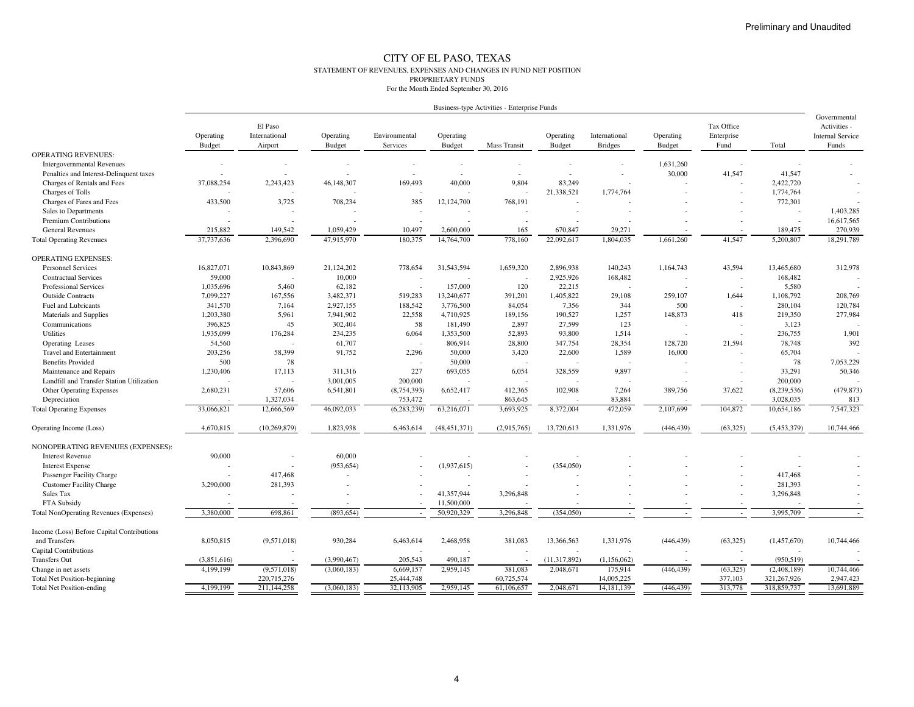#### CITY OF EL PASO, TEXAS STATEMENT OF REVENUES, EXPENSES AND CHANGES IN FUND NET POSITIONPROPRIETARY FUNDSFor the Month Ended September 30, 2016

| Business-type Activities - Enterprise Funds |  |
|---------------------------------------------|--|

| Operating<br>International<br>Operating<br>Environmental<br>Operating<br>Operating<br>International<br>Operating<br>Enterprise<br><b>Internal Service</b><br>Budget<br>Airport<br><b>Budget</b><br>Services<br><b>Budget</b><br><b>Mass Transit</b><br><b>Budget</b><br><b>Bridges</b><br>Budget<br>Fund<br>Total<br>Funds<br><b>OPERATING REVENUES:</b><br><b>Intergovernmental Revenues</b><br>1,631,260<br>30,000<br>41,547<br>41,547<br>Penalties and Interest-Delinquent taxes<br>$\sim$<br>2,243,423<br>40,000<br>9.804<br>83,249<br>Charges of Rentals and Fees<br>37,088,254<br>46,148,307<br>169,493<br>2,422,720<br>21,338,521<br>Charges of Tolls<br>1,774,764<br>1,774,764<br>433,500<br>3,725<br>708,234<br>385<br>Charges of Fares and Fees<br>12,124,700<br>768,191<br>772,301<br>1,403,285<br>Sales to Departments<br>Premium Contributions<br>16,617,565<br>$\overline{\phantom{a}}$<br>270,939<br><b>General Revenues</b><br>215,882<br>149,542<br>1,059,429<br>10,497<br>2,600,000<br>165<br>29,271<br>189,475<br>670,847<br>2,396,690<br>22,092,617<br>1,804,035<br>41,547<br>5,200,807<br>18,291,789<br>37,737,636<br>47,915,970<br>180,375<br>14,764,700<br>778,160<br>1,661,260<br><b>Total Operating Revenues</b><br><b>OPERATING EXPENSES:</b><br>16,827,071<br>43,594<br>312,978<br><b>Personnel Services</b><br>10,843,869<br>21,124,202<br>778,654<br>31,543,594<br>1,659,320<br>2,896,938<br>140,243<br>1,164,743<br>13,465,680<br>59,000<br>10,000<br>2,925,926<br>168,482<br>168,482<br><b>Contractual Services</b><br>$\overline{\phantom{a}}$<br>$\overline{\phantom{a}}$<br>120<br>Professional Services<br>1,035,696<br>5,460<br>62,182<br>157,000<br>22,215<br>5,580<br>$\overline{a}$<br><b>Outside Contracts</b><br>7,099,227<br>167,556<br>3,482,371<br>519,283<br>13,240,677<br>391,201<br>1,405,822<br>29,108<br>259,107<br>1,644<br>1,108,792<br>208,769<br>2,927,155<br>344<br>500<br>120,784<br>Fuel and Lubricants<br>341,570<br>7,164<br>188,542<br>3,776,500<br>84,054<br>7,356<br>280,104<br>148,873<br>1,203,380<br>5,961<br>7,941,902<br>22,558<br>189,156<br>190,527<br>1,257<br>219,350<br>277,984<br>Materials and Supplies<br>4,710,925<br>418<br>396,825<br>45<br>302,404<br>58<br>2,897<br>27,599<br>123<br>3,123<br>181,490<br>Communications<br>1,935,099<br>176,284<br>234,235<br>1,353,500<br>52,893<br>1.514<br>236,755<br>1,901<br><b>Utilities</b><br>6,064<br>93,800<br>54,560<br>61,707<br>28,800<br>347,754<br>28.354<br>128,720<br>21,594<br>78,748<br>392<br>806,914<br><b>Operating Leases</b><br>$\overline{\phantom{a}}$<br>203,256<br>58,399<br>91,752<br>1,589<br><b>Travel and Entertainment</b><br>2,296<br>50,000<br>3,420<br>22,600<br>16,000<br>65,704<br>$\overline{\phantom{a}}$<br><b>Benefits Provided</b><br>500<br>78<br>50,000<br>78<br>7,053,229<br>$\overline{\phantom{a}}$<br>$\overline{\phantom{a}}$<br>50,346<br>1,230,406<br>17,113<br>311,316<br>227<br>693,055<br>6,054<br>328,559<br>9,897<br>33,291<br>Maintenance and Repairs<br>Landfill and Transfer Station Utilization<br>3,001,005<br>200,000<br>200,000<br>37,622<br>(479, 873)<br><b>Other Operating Expenses</b><br>2,680,231<br>57,606<br>6,541,801<br>(8,754,393)<br>6,652,417<br>412,365<br>102,908<br>7,264<br>389,756<br>(8,239,536)<br>1,327,034<br>753,472<br>863,645<br>83,884<br>3,028,035<br>Depreciation<br>813<br>7,547,323<br>33,066,821<br>46,092,033<br>(6, 283, 239)<br>63,216,071<br>3,693,925<br>8,372,004<br>472,059<br>2,107,699<br>104,872<br>10,654,186<br>12,666,569<br><b>Total Operating Expenses</b><br>4,670,815<br>1,823,938<br>(446, 439)<br>(63, 325)<br>(5,453,379)<br>10,744,466<br>(10, 269, 879)<br>6,463,614<br>(48, 451, 371)<br>(2,915,765)<br>13,720,613<br>1,331,976<br>Operating Income (Loss)<br>NONOPERATING REVENUES (EXPENSES):<br>90,000<br><b>Interest Revenue</b><br>60,000<br>(354, 050)<br><b>Interest Expense</b><br>(953, 654)<br>(1,937,615)<br>417,468<br>417,468<br>Passenger Facility Charge<br>281,393<br><b>Customer Facility Charge</b><br>3,290,000<br>281,393<br>41,357,944<br>3,296,848<br>Sales Tax<br>3,296,848<br>11,500,000<br>FTA Subsidy<br>50,920,329<br>3,296,848<br>3,995,709<br>3,380,000<br>698,861<br>(893, 654)<br>(354,050)<br>Total NonOperating Revenues (Expenses)<br>Income (Loss) Before Capital Contributions<br>8,050,815<br>930,284<br>6,463,614<br>13,366,563<br>(446, 439)<br>and Transfers<br>(9,571,018)<br>2,468,958<br>381,083<br>1,331,976<br>(63,325)<br>(1,457,670)<br>10,744,466<br>Capital Contributions<br><b>Transfers Out</b><br>(3,990,467)<br>205,543<br>490.187<br>(11, 317, 892)<br>(1,156,062)<br>(950, 519)<br>(3,851,616)<br>4,199,199<br>(9,571,018)<br>(3,060,183)<br>6,669,157<br>2,959,145<br>381,083<br>2,048,671<br>175,914<br>(446, 439)<br>(63, 325)<br>(2,408,189)<br>10,744,466<br>Change in net assets<br>25,444,748<br>60,725,574<br>14,005,225<br>321,267,926<br>2,947,423<br><b>Total Net Position-beginning</b><br>220,715,276<br>377,103<br>32,113,905<br>313,778<br>318,859,737<br>13,691,889<br>4,199,199<br>211,144,258<br>(3,060,183)<br>2,959,145<br>61,106,657<br>2,048,671<br>14, 181, 139<br>(446, 439)<br><b>Total Net Position-ending</b> |  |         |  |  |  |            | Governmental |
|--------------------------------------------------------------------------------------------------------------------------------------------------------------------------------------------------------------------------------------------------------------------------------------------------------------------------------------------------------------------------------------------------------------------------------------------------------------------------------------------------------------------------------------------------------------------------------------------------------------------------------------------------------------------------------------------------------------------------------------------------------------------------------------------------------------------------------------------------------------------------------------------------------------------------------------------------------------------------------------------------------------------------------------------------------------------------------------------------------------------------------------------------------------------------------------------------------------------------------------------------------------------------------------------------------------------------------------------------------------------------------------------------------------------------------------------------------------------------------------------------------------------------------------------------------------------------------------------------------------------------------------------------------------------------------------------------------------------------------------------------------------------------------------------------------------------------------------------------------------------------------------------------------------------------------------------------------------------------------------------------------------------------------------------------------------------------------------------------------------------------------------------------------------------------------------------------------------------------------------------------------------------------------------------------------------------------------------------------------------------------------------------------------------------------------------------------------------------------------------------------------------------------------------------------------------------------------------------------------------------------------------------------------------------------------------------------------------------------------------------------------------------------------------------------------------------------------------------------------------------------------------------------------------------------------------------------------------------------------------------------------------------------------------------------------------------------------------------------------------------------------------------------------------------------------------------------------------------------------------------------------------------------------------------------------------------------------------------------------------------------------------------------------------------------------------------------------------------------------------------------------------------------------------------------------------------------------------------------------------------------------------------------------------------------------------------------------------------------------------------------------------------------------------------------------------------------------------------------------------------------------------------------------------------------------------------------------------------------------------------------------------------------------------------------------------------------------------------------------------------------------------------------------------------------------------------------------------------------------------------------------------------------------------------------------------------------------------------------------------------------------------------------------------------------------------------------------------------------------------------------------------------------------------------------------------------------------------------------------------------------------------------------------------------------------------------------------------------------------------------------------------------------------------------------------------------------------------------------------------------------------------------------------------------------------------------------------------------------------------------------------------------------------------------------------------------------------------------------------------------------------------------------------------------------------------------------------------------------------------|--|---------|--|--|--|------------|--------------|
|                                                                                                                                                                                                                                                                                                                                                                                                                                                                                                                                                                                                                                                                                                                                                                                                                                                                                                                                                                                                                                                                                                                                                                                                                                                                                                                                                                                                                                                                                                                                                                                                                                                                                                                                                                                                                                                                                                                                                                                                                                                                                                                                                                                                                                                                                                                                                                                                                                                                                                                                                                                                                                                                                                                                                                                                                                                                                                                                                                                                                                                                                                                                                                                                                                                                                                                                                                                                                                                                                                                                                                                                                                                                                                                                                                                                                                                                                                                                                                                                                                                                                                                                                                                                                                                                                                                                                                                                                                                                                                                                                                                                                                                                                                                                                                                                                                                                                                                                                                                                                                                                                                                                                                                                                                      |  | El Paso |  |  |  | Tax Office | Activities - |
|                                                                                                                                                                                                                                                                                                                                                                                                                                                                                                                                                                                                                                                                                                                                                                                                                                                                                                                                                                                                                                                                                                                                                                                                                                                                                                                                                                                                                                                                                                                                                                                                                                                                                                                                                                                                                                                                                                                                                                                                                                                                                                                                                                                                                                                                                                                                                                                                                                                                                                                                                                                                                                                                                                                                                                                                                                                                                                                                                                                                                                                                                                                                                                                                                                                                                                                                                                                                                                                                                                                                                                                                                                                                                                                                                                                                                                                                                                                                                                                                                                                                                                                                                                                                                                                                                                                                                                                                                                                                                                                                                                                                                                                                                                                                                                                                                                                                                                                                                                                                                                                                                                                                                                                                                                      |  |         |  |  |  |            |              |
|                                                                                                                                                                                                                                                                                                                                                                                                                                                                                                                                                                                                                                                                                                                                                                                                                                                                                                                                                                                                                                                                                                                                                                                                                                                                                                                                                                                                                                                                                                                                                                                                                                                                                                                                                                                                                                                                                                                                                                                                                                                                                                                                                                                                                                                                                                                                                                                                                                                                                                                                                                                                                                                                                                                                                                                                                                                                                                                                                                                                                                                                                                                                                                                                                                                                                                                                                                                                                                                                                                                                                                                                                                                                                                                                                                                                                                                                                                                                                                                                                                                                                                                                                                                                                                                                                                                                                                                                                                                                                                                                                                                                                                                                                                                                                                                                                                                                                                                                                                                                                                                                                                                                                                                                                                      |  |         |  |  |  |            |              |
|                                                                                                                                                                                                                                                                                                                                                                                                                                                                                                                                                                                                                                                                                                                                                                                                                                                                                                                                                                                                                                                                                                                                                                                                                                                                                                                                                                                                                                                                                                                                                                                                                                                                                                                                                                                                                                                                                                                                                                                                                                                                                                                                                                                                                                                                                                                                                                                                                                                                                                                                                                                                                                                                                                                                                                                                                                                                                                                                                                                                                                                                                                                                                                                                                                                                                                                                                                                                                                                                                                                                                                                                                                                                                                                                                                                                                                                                                                                                                                                                                                                                                                                                                                                                                                                                                                                                                                                                                                                                                                                                                                                                                                                                                                                                                                                                                                                                                                                                                                                                                                                                                                                                                                                                                                      |  |         |  |  |  |            |              |
|                                                                                                                                                                                                                                                                                                                                                                                                                                                                                                                                                                                                                                                                                                                                                                                                                                                                                                                                                                                                                                                                                                                                                                                                                                                                                                                                                                                                                                                                                                                                                                                                                                                                                                                                                                                                                                                                                                                                                                                                                                                                                                                                                                                                                                                                                                                                                                                                                                                                                                                                                                                                                                                                                                                                                                                                                                                                                                                                                                                                                                                                                                                                                                                                                                                                                                                                                                                                                                                                                                                                                                                                                                                                                                                                                                                                                                                                                                                                                                                                                                                                                                                                                                                                                                                                                                                                                                                                                                                                                                                                                                                                                                                                                                                                                                                                                                                                                                                                                                                                                                                                                                                                                                                                                                      |  |         |  |  |  |            |              |
|                                                                                                                                                                                                                                                                                                                                                                                                                                                                                                                                                                                                                                                                                                                                                                                                                                                                                                                                                                                                                                                                                                                                                                                                                                                                                                                                                                                                                                                                                                                                                                                                                                                                                                                                                                                                                                                                                                                                                                                                                                                                                                                                                                                                                                                                                                                                                                                                                                                                                                                                                                                                                                                                                                                                                                                                                                                                                                                                                                                                                                                                                                                                                                                                                                                                                                                                                                                                                                                                                                                                                                                                                                                                                                                                                                                                                                                                                                                                                                                                                                                                                                                                                                                                                                                                                                                                                                                                                                                                                                                                                                                                                                                                                                                                                                                                                                                                                                                                                                                                                                                                                                                                                                                                                                      |  |         |  |  |  |            |              |
|                                                                                                                                                                                                                                                                                                                                                                                                                                                                                                                                                                                                                                                                                                                                                                                                                                                                                                                                                                                                                                                                                                                                                                                                                                                                                                                                                                                                                                                                                                                                                                                                                                                                                                                                                                                                                                                                                                                                                                                                                                                                                                                                                                                                                                                                                                                                                                                                                                                                                                                                                                                                                                                                                                                                                                                                                                                                                                                                                                                                                                                                                                                                                                                                                                                                                                                                                                                                                                                                                                                                                                                                                                                                                                                                                                                                                                                                                                                                                                                                                                                                                                                                                                                                                                                                                                                                                                                                                                                                                                                                                                                                                                                                                                                                                                                                                                                                                                                                                                                                                                                                                                                                                                                                                                      |  |         |  |  |  |            |              |
|                                                                                                                                                                                                                                                                                                                                                                                                                                                                                                                                                                                                                                                                                                                                                                                                                                                                                                                                                                                                                                                                                                                                                                                                                                                                                                                                                                                                                                                                                                                                                                                                                                                                                                                                                                                                                                                                                                                                                                                                                                                                                                                                                                                                                                                                                                                                                                                                                                                                                                                                                                                                                                                                                                                                                                                                                                                                                                                                                                                                                                                                                                                                                                                                                                                                                                                                                                                                                                                                                                                                                                                                                                                                                                                                                                                                                                                                                                                                                                                                                                                                                                                                                                                                                                                                                                                                                                                                                                                                                                                                                                                                                                                                                                                                                                                                                                                                                                                                                                                                                                                                                                                                                                                                                                      |  |         |  |  |  |            |              |
|                                                                                                                                                                                                                                                                                                                                                                                                                                                                                                                                                                                                                                                                                                                                                                                                                                                                                                                                                                                                                                                                                                                                                                                                                                                                                                                                                                                                                                                                                                                                                                                                                                                                                                                                                                                                                                                                                                                                                                                                                                                                                                                                                                                                                                                                                                                                                                                                                                                                                                                                                                                                                                                                                                                                                                                                                                                                                                                                                                                                                                                                                                                                                                                                                                                                                                                                                                                                                                                                                                                                                                                                                                                                                                                                                                                                                                                                                                                                                                                                                                                                                                                                                                                                                                                                                                                                                                                                                                                                                                                                                                                                                                                                                                                                                                                                                                                                                                                                                                                                                                                                                                                                                                                                                                      |  |         |  |  |  |            |              |
|                                                                                                                                                                                                                                                                                                                                                                                                                                                                                                                                                                                                                                                                                                                                                                                                                                                                                                                                                                                                                                                                                                                                                                                                                                                                                                                                                                                                                                                                                                                                                                                                                                                                                                                                                                                                                                                                                                                                                                                                                                                                                                                                                                                                                                                                                                                                                                                                                                                                                                                                                                                                                                                                                                                                                                                                                                                                                                                                                                                                                                                                                                                                                                                                                                                                                                                                                                                                                                                                                                                                                                                                                                                                                                                                                                                                                                                                                                                                                                                                                                                                                                                                                                                                                                                                                                                                                                                                                                                                                                                                                                                                                                                                                                                                                                                                                                                                                                                                                                                                                                                                                                                                                                                                                                      |  |         |  |  |  |            |              |
|                                                                                                                                                                                                                                                                                                                                                                                                                                                                                                                                                                                                                                                                                                                                                                                                                                                                                                                                                                                                                                                                                                                                                                                                                                                                                                                                                                                                                                                                                                                                                                                                                                                                                                                                                                                                                                                                                                                                                                                                                                                                                                                                                                                                                                                                                                                                                                                                                                                                                                                                                                                                                                                                                                                                                                                                                                                                                                                                                                                                                                                                                                                                                                                                                                                                                                                                                                                                                                                                                                                                                                                                                                                                                                                                                                                                                                                                                                                                                                                                                                                                                                                                                                                                                                                                                                                                                                                                                                                                                                                                                                                                                                                                                                                                                                                                                                                                                                                                                                                                                                                                                                                                                                                                                                      |  |         |  |  |  |            |              |
|                                                                                                                                                                                                                                                                                                                                                                                                                                                                                                                                                                                                                                                                                                                                                                                                                                                                                                                                                                                                                                                                                                                                                                                                                                                                                                                                                                                                                                                                                                                                                                                                                                                                                                                                                                                                                                                                                                                                                                                                                                                                                                                                                                                                                                                                                                                                                                                                                                                                                                                                                                                                                                                                                                                                                                                                                                                                                                                                                                                                                                                                                                                                                                                                                                                                                                                                                                                                                                                                                                                                                                                                                                                                                                                                                                                                                                                                                                                                                                                                                                                                                                                                                                                                                                                                                                                                                                                                                                                                                                                                                                                                                                                                                                                                                                                                                                                                                                                                                                                                                                                                                                                                                                                                                                      |  |         |  |  |  |            |              |
|                                                                                                                                                                                                                                                                                                                                                                                                                                                                                                                                                                                                                                                                                                                                                                                                                                                                                                                                                                                                                                                                                                                                                                                                                                                                                                                                                                                                                                                                                                                                                                                                                                                                                                                                                                                                                                                                                                                                                                                                                                                                                                                                                                                                                                                                                                                                                                                                                                                                                                                                                                                                                                                                                                                                                                                                                                                                                                                                                                                                                                                                                                                                                                                                                                                                                                                                                                                                                                                                                                                                                                                                                                                                                                                                                                                                                                                                                                                                                                                                                                                                                                                                                                                                                                                                                                                                                                                                                                                                                                                                                                                                                                                                                                                                                                                                                                                                                                                                                                                                                                                                                                                                                                                                                                      |  |         |  |  |  |            |              |
|                                                                                                                                                                                                                                                                                                                                                                                                                                                                                                                                                                                                                                                                                                                                                                                                                                                                                                                                                                                                                                                                                                                                                                                                                                                                                                                                                                                                                                                                                                                                                                                                                                                                                                                                                                                                                                                                                                                                                                                                                                                                                                                                                                                                                                                                                                                                                                                                                                                                                                                                                                                                                                                                                                                                                                                                                                                                                                                                                                                                                                                                                                                                                                                                                                                                                                                                                                                                                                                                                                                                                                                                                                                                                                                                                                                                                                                                                                                                                                                                                                                                                                                                                                                                                                                                                                                                                                                                                                                                                                                                                                                                                                                                                                                                                                                                                                                                                                                                                                                                                                                                                                                                                                                                                                      |  |         |  |  |  |            |              |
|                                                                                                                                                                                                                                                                                                                                                                                                                                                                                                                                                                                                                                                                                                                                                                                                                                                                                                                                                                                                                                                                                                                                                                                                                                                                                                                                                                                                                                                                                                                                                                                                                                                                                                                                                                                                                                                                                                                                                                                                                                                                                                                                                                                                                                                                                                                                                                                                                                                                                                                                                                                                                                                                                                                                                                                                                                                                                                                                                                                                                                                                                                                                                                                                                                                                                                                                                                                                                                                                                                                                                                                                                                                                                                                                                                                                                                                                                                                                                                                                                                                                                                                                                                                                                                                                                                                                                                                                                                                                                                                                                                                                                                                                                                                                                                                                                                                                                                                                                                                                                                                                                                                                                                                                                                      |  |         |  |  |  |            |              |
|                                                                                                                                                                                                                                                                                                                                                                                                                                                                                                                                                                                                                                                                                                                                                                                                                                                                                                                                                                                                                                                                                                                                                                                                                                                                                                                                                                                                                                                                                                                                                                                                                                                                                                                                                                                                                                                                                                                                                                                                                                                                                                                                                                                                                                                                                                                                                                                                                                                                                                                                                                                                                                                                                                                                                                                                                                                                                                                                                                                                                                                                                                                                                                                                                                                                                                                                                                                                                                                                                                                                                                                                                                                                                                                                                                                                                                                                                                                                                                                                                                                                                                                                                                                                                                                                                                                                                                                                                                                                                                                                                                                                                                                                                                                                                                                                                                                                                                                                                                                                                                                                                                                                                                                                                                      |  |         |  |  |  |            |              |
|                                                                                                                                                                                                                                                                                                                                                                                                                                                                                                                                                                                                                                                                                                                                                                                                                                                                                                                                                                                                                                                                                                                                                                                                                                                                                                                                                                                                                                                                                                                                                                                                                                                                                                                                                                                                                                                                                                                                                                                                                                                                                                                                                                                                                                                                                                                                                                                                                                                                                                                                                                                                                                                                                                                                                                                                                                                                                                                                                                                                                                                                                                                                                                                                                                                                                                                                                                                                                                                                                                                                                                                                                                                                                                                                                                                                                                                                                                                                                                                                                                                                                                                                                                                                                                                                                                                                                                                                                                                                                                                                                                                                                                                                                                                                                                                                                                                                                                                                                                                                                                                                                                                                                                                                                                      |  |         |  |  |  |            |              |
|                                                                                                                                                                                                                                                                                                                                                                                                                                                                                                                                                                                                                                                                                                                                                                                                                                                                                                                                                                                                                                                                                                                                                                                                                                                                                                                                                                                                                                                                                                                                                                                                                                                                                                                                                                                                                                                                                                                                                                                                                                                                                                                                                                                                                                                                                                                                                                                                                                                                                                                                                                                                                                                                                                                                                                                                                                                                                                                                                                                                                                                                                                                                                                                                                                                                                                                                                                                                                                                                                                                                                                                                                                                                                                                                                                                                                                                                                                                                                                                                                                                                                                                                                                                                                                                                                                                                                                                                                                                                                                                                                                                                                                                                                                                                                                                                                                                                                                                                                                                                                                                                                                                                                                                                                                      |  |         |  |  |  |            |              |
|                                                                                                                                                                                                                                                                                                                                                                                                                                                                                                                                                                                                                                                                                                                                                                                                                                                                                                                                                                                                                                                                                                                                                                                                                                                                                                                                                                                                                                                                                                                                                                                                                                                                                                                                                                                                                                                                                                                                                                                                                                                                                                                                                                                                                                                                                                                                                                                                                                                                                                                                                                                                                                                                                                                                                                                                                                                                                                                                                                                                                                                                                                                                                                                                                                                                                                                                                                                                                                                                                                                                                                                                                                                                                                                                                                                                                                                                                                                                                                                                                                                                                                                                                                                                                                                                                                                                                                                                                                                                                                                                                                                                                                                                                                                                                                                                                                                                                                                                                                                                                                                                                                                                                                                                                                      |  |         |  |  |  |            |              |
|                                                                                                                                                                                                                                                                                                                                                                                                                                                                                                                                                                                                                                                                                                                                                                                                                                                                                                                                                                                                                                                                                                                                                                                                                                                                                                                                                                                                                                                                                                                                                                                                                                                                                                                                                                                                                                                                                                                                                                                                                                                                                                                                                                                                                                                                                                                                                                                                                                                                                                                                                                                                                                                                                                                                                                                                                                                                                                                                                                                                                                                                                                                                                                                                                                                                                                                                                                                                                                                                                                                                                                                                                                                                                                                                                                                                                                                                                                                                                                                                                                                                                                                                                                                                                                                                                                                                                                                                                                                                                                                                                                                                                                                                                                                                                                                                                                                                                                                                                                                                                                                                                                                                                                                                                                      |  |         |  |  |  |            |              |
|                                                                                                                                                                                                                                                                                                                                                                                                                                                                                                                                                                                                                                                                                                                                                                                                                                                                                                                                                                                                                                                                                                                                                                                                                                                                                                                                                                                                                                                                                                                                                                                                                                                                                                                                                                                                                                                                                                                                                                                                                                                                                                                                                                                                                                                                                                                                                                                                                                                                                                                                                                                                                                                                                                                                                                                                                                                                                                                                                                                                                                                                                                                                                                                                                                                                                                                                                                                                                                                                                                                                                                                                                                                                                                                                                                                                                                                                                                                                                                                                                                                                                                                                                                                                                                                                                                                                                                                                                                                                                                                                                                                                                                                                                                                                                                                                                                                                                                                                                                                                                                                                                                                                                                                                                                      |  |         |  |  |  |            |              |
|                                                                                                                                                                                                                                                                                                                                                                                                                                                                                                                                                                                                                                                                                                                                                                                                                                                                                                                                                                                                                                                                                                                                                                                                                                                                                                                                                                                                                                                                                                                                                                                                                                                                                                                                                                                                                                                                                                                                                                                                                                                                                                                                                                                                                                                                                                                                                                                                                                                                                                                                                                                                                                                                                                                                                                                                                                                                                                                                                                                                                                                                                                                                                                                                                                                                                                                                                                                                                                                                                                                                                                                                                                                                                                                                                                                                                                                                                                                                                                                                                                                                                                                                                                                                                                                                                                                                                                                                                                                                                                                                                                                                                                                                                                                                                                                                                                                                                                                                                                                                                                                                                                                                                                                                                                      |  |         |  |  |  |            |              |
|                                                                                                                                                                                                                                                                                                                                                                                                                                                                                                                                                                                                                                                                                                                                                                                                                                                                                                                                                                                                                                                                                                                                                                                                                                                                                                                                                                                                                                                                                                                                                                                                                                                                                                                                                                                                                                                                                                                                                                                                                                                                                                                                                                                                                                                                                                                                                                                                                                                                                                                                                                                                                                                                                                                                                                                                                                                                                                                                                                                                                                                                                                                                                                                                                                                                                                                                                                                                                                                                                                                                                                                                                                                                                                                                                                                                                                                                                                                                                                                                                                                                                                                                                                                                                                                                                                                                                                                                                                                                                                                                                                                                                                                                                                                                                                                                                                                                                                                                                                                                                                                                                                                                                                                                                                      |  |         |  |  |  |            |              |
|                                                                                                                                                                                                                                                                                                                                                                                                                                                                                                                                                                                                                                                                                                                                                                                                                                                                                                                                                                                                                                                                                                                                                                                                                                                                                                                                                                                                                                                                                                                                                                                                                                                                                                                                                                                                                                                                                                                                                                                                                                                                                                                                                                                                                                                                                                                                                                                                                                                                                                                                                                                                                                                                                                                                                                                                                                                                                                                                                                                                                                                                                                                                                                                                                                                                                                                                                                                                                                                                                                                                                                                                                                                                                                                                                                                                                                                                                                                                                                                                                                                                                                                                                                                                                                                                                                                                                                                                                                                                                                                                                                                                                                                                                                                                                                                                                                                                                                                                                                                                                                                                                                                                                                                                                                      |  |         |  |  |  |            |              |
|                                                                                                                                                                                                                                                                                                                                                                                                                                                                                                                                                                                                                                                                                                                                                                                                                                                                                                                                                                                                                                                                                                                                                                                                                                                                                                                                                                                                                                                                                                                                                                                                                                                                                                                                                                                                                                                                                                                                                                                                                                                                                                                                                                                                                                                                                                                                                                                                                                                                                                                                                                                                                                                                                                                                                                                                                                                                                                                                                                                                                                                                                                                                                                                                                                                                                                                                                                                                                                                                                                                                                                                                                                                                                                                                                                                                                                                                                                                                                                                                                                                                                                                                                                                                                                                                                                                                                                                                                                                                                                                                                                                                                                                                                                                                                                                                                                                                                                                                                                                                                                                                                                                                                                                                                                      |  |         |  |  |  |            |              |
|                                                                                                                                                                                                                                                                                                                                                                                                                                                                                                                                                                                                                                                                                                                                                                                                                                                                                                                                                                                                                                                                                                                                                                                                                                                                                                                                                                                                                                                                                                                                                                                                                                                                                                                                                                                                                                                                                                                                                                                                                                                                                                                                                                                                                                                                                                                                                                                                                                                                                                                                                                                                                                                                                                                                                                                                                                                                                                                                                                                                                                                                                                                                                                                                                                                                                                                                                                                                                                                                                                                                                                                                                                                                                                                                                                                                                                                                                                                                                                                                                                                                                                                                                                                                                                                                                                                                                                                                                                                                                                                                                                                                                                                                                                                                                                                                                                                                                                                                                                                                                                                                                                                                                                                                                                      |  |         |  |  |  |            |              |
|                                                                                                                                                                                                                                                                                                                                                                                                                                                                                                                                                                                                                                                                                                                                                                                                                                                                                                                                                                                                                                                                                                                                                                                                                                                                                                                                                                                                                                                                                                                                                                                                                                                                                                                                                                                                                                                                                                                                                                                                                                                                                                                                                                                                                                                                                                                                                                                                                                                                                                                                                                                                                                                                                                                                                                                                                                                                                                                                                                                                                                                                                                                                                                                                                                                                                                                                                                                                                                                                                                                                                                                                                                                                                                                                                                                                                                                                                                                                                                                                                                                                                                                                                                                                                                                                                                                                                                                                                                                                                                                                                                                                                                                                                                                                                                                                                                                                                                                                                                                                                                                                                                                                                                                                                                      |  |         |  |  |  |            |              |
|                                                                                                                                                                                                                                                                                                                                                                                                                                                                                                                                                                                                                                                                                                                                                                                                                                                                                                                                                                                                                                                                                                                                                                                                                                                                                                                                                                                                                                                                                                                                                                                                                                                                                                                                                                                                                                                                                                                                                                                                                                                                                                                                                                                                                                                                                                                                                                                                                                                                                                                                                                                                                                                                                                                                                                                                                                                                                                                                                                                                                                                                                                                                                                                                                                                                                                                                                                                                                                                                                                                                                                                                                                                                                                                                                                                                                                                                                                                                                                                                                                                                                                                                                                                                                                                                                                                                                                                                                                                                                                                                                                                                                                                                                                                                                                                                                                                                                                                                                                                                                                                                                                                                                                                                                                      |  |         |  |  |  |            |              |
|                                                                                                                                                                                                                                                                                                                                                                                                                                                                                                                                                                                                                                                                                                                                                                                                                                                                                                                                                                                                                                                                                                                                                                                                                                                                                                                                                                                                                                                                                                                                                                                                                                                                                                                                                                                                                                                                                                                                                                                                                                                                                                                                                                                                                                                                                                                                                                                                                                                                                                                                                                                                                                                                                                                                                                                                                                                                                                                                                                                                                                                                                                                                                                                                                                                                                                                                                                                                                                                                                                                                                                                                                                                                                                                                                                                                                                                                                                                                                                                                                                                                                                                                                                                                                                                                                                                                                                                                                                                                                                                                                                                                                                                                                                                                                                                                                                                                                                                                                                                                                                                                                                                                                                                                                                      |  |         |  |  |  |            |              |
|                                                                                                                                                                                                                                                                                                                                                                                                                                                                                                                                                                                                                                                                                                                                                                                                                                                                                                                                                                                                                                                                                                                                                                                                                                                                                                                                                                                                                                                                                                                                                                                                                                                                                                                                                                                                                                                                                                                                                                                                                                                                                                                                                                                                                                                                                                                                                                                                                                                                                                                                                                                                                                                                                                                                                                                                                                                                                                                                                                                                                                                                                                                                                                                                                                                                                                                                                                                                                                                                                                                                                                                                                                                                                                                                                                                                                                                                                                                                                                                                                                                                                                                                                                                                                                                                                                                                                                                                                                                                                                                                                                                                                                                                                                                                                                                                                                                                                                                                                                                                                                                                                                                                                                                                                                      |  |         |  |  |  |            |              |
|                                                                                                                                                                                                                                                                                                                                                                                                                                                                                                                                                                                                                                                                                                                                                                                                                                                                                                                                                                                                                                                                                                                                                                                                                                                                                                                                                                                                                                                                                                                                                                                                                                                                                                                                                                                                                                                                                                                                                                                                                                                                                                                                                                                                                                                                                                                                                                                                                                                                                                                                                                                                                                                                                                                                                                                                                                                                                                                                                                                                                                                                                                                                                                                                                                                                                                                                                                                                                                                                                                                                                                                                                                                                                                                                                                                                                                                                                                                                                                                                                                                                                                                                                                                                                                                                                                                                                                                                                                                                                                                                                                                                                                                                                                                                                                                                                                                                                                                                                                                                                                                                                                                                                                                                                                      |  |         |  |  |  |            |              |
|                                                                                                                                                                                                                                                                                                                                                                                                                                                                                                                                                                                                                                                                                                                                                                                                                                                                                                                                                                                                                                                                                                                                                                                                                                                                                                                                                                                                                                                                                                                                                                                                                                                                                                                                                                                                                                                                                                                                                                                                                                                                                                                                                                                                                                                                                                                                                                                                                                                                                                                                                                                                                                                                                                                                                                                                                                                                                                                                                                                                                                                                                                                                                                                                                                                                                                                                                                                                                                                                                                                                                                                                                                                                                                                                                                                                                                                                                                                                                                                                                                                                                                                                                                                                                                                                                                                                                                                                                                                                                                                                                                                                                                                                                                                                                                                                                                                                                                                                                                                                                                                                                                                                                                                                                                      |  |         |  |  |  |            |              |
|                                                                                                                                                                                                                                                                                                                                                                                                                                                                                                                                                                                                                                                                                                                                                                                                                                                                                                                                                                                                                                                                                                                                                                                                                                                                                                                                                                                                                                                                                                                                                                                                                                                                                                                                                                                                                                                                                                                                                                                                                                                                                                                                                                                                                                                                                                                                                                                                                                                                                                                                                                                                                                                                                                                                                                                                                                                                                                                                                                                                                                                                                                                                                                                                                                                                                                                                                                                                                                                                                                                                                                                                                                                                                                                                                                                                                                                                                                                                                                                                                                                                                                                                                                                                                                                                                                                                                                                                                                                                                                                                                                                                                                                                                                                                                                                                                                                                                                                                                                                                                                                                                                                                                                                                                                      |  |         |  |  |  |            |              |
|                                                                                                                                                                                                                                                                                                                                                                                                                                                                                                                                                                                                                                                                                                                                                                                                                                                                                                                                                                                                                                                                                                                                                                                                                                                                                                                                                                                                                                                                                                                                                                                                                                                                                                                                                                                                                                                                                                                                                                                                                                                                                                                                                                                                                                                                                                                                                                                                                                                                                                                                                                                                                                                                                                                                                                                                                                                                                                                                                                                                                                                                                                                                                                                                                                                                                                                                                                                                                                                                                                                                                                                                                                                                                                                                                                                                                                                                                                                                                                                                                                                                                                                                                                                                                                                                                                                                                                                                                                                                                                                                                                                                                                                                                                                                                                                                                                                                                                                                                                                                                                                                                                                                                                                                                                      |  |         |  |  |  |            |              |
|                                                                                                                                                                                                                                                                                                                                                                                                                                                                                                                                                                                                                                                                                                                                                                                                                                                                                                                                                                                                                                                                                                                                                                                                                                                                                                                                                                                                                                                                                                                                                                                                                                                                                                                                                                                                                                                                                                                                                                                                                                                                                                                                                                                                                                                                                                                                                                                                                                                                                                                                                                                                                                                                                                                                                                                                                                                                                                                                                                                                                                                                                                                                                                                                                                                                                                                                                                                                                                                                                                                                                                                                                                                                                                                                                                                                                                                                                                                                                                                                                                                                                                                                                                                                                                                                                                                                                                                                                                                                                                                                                                                                                                                                                                                                                                                                                                                                                                                                                                                                                                                                                                                                                                                                                                      |  |         |  |  |  |            |              |
|                                                                                                                                                                                                                                                                                                                                                                                                                                                                                                                                                                                                                                                                                                                                                                                                                                                                                                                                                                                                                                                                                                                                                                                                                                                                                                                                                                                                                                                                                                                                                                                                                                                                                                                                                                                                                                                                                                                                                                                                                                                                                                                                                                                                                                                                                                                                                                                                                                                                                                                                                                                                                                                                                                                                                                                                                                                                                                                                                                                                                                                                                                                                                                                                                                                                                                                                                                                                                                                                                                                                                                                                                                                                                                                                                                                                                                                                                                                                                                                                                                                                                                                                                                                                                                                                                                                                                                                                                                                                                                                                                                                                                                                                                                                                                                                                                                                                                                                                                                                                                                                                                                                                                                                                                                      |  |         |  |  |  |            |              |
|                                                                                                                                                                                                                                                                                                                                                                                                                                                                                                                                                                                                                                                                                                                                                                                                                                                                                                                                                                                                                                                                                                                                                                                                                                                                                                                                                                                                                                                                                                                                                                                                                                                                                                                                                                                                                                                                                                                                                                                                                                                                                                                                                                                                                                                                                                                                                                                                                                                                                                                                                                                                                                                                                                                                                                                                                                                                                                                                                                                                                                                                                                                                                                                                                                                                                                                                                                                                                                                                                                                                                                                                                                                                                                                                                                                                                                                                                                                                                                                                                                                                                                                                                                                                                                                                                                                                                                                                                                                                                                                                                                                                                                                                                                                                                                                                                                                                                                                                                                                                                                                                                                                                                                                                                                      |  |         |  |  |  |            |              |
|                                                                                                                                                                                                                                                                                                                                                                                                                                                                                                                                                                                                                                                                                                                                                                                                                                                                                                                                                                                                                                                                                                                                                                                                                                                                                                                                                                                                                                                                                                                                                                                                                                                                                                                                                                                                                                                                                                                                                                                                                                                                                                                                                                                                                                                                                                                                                                                                                                                                                                                                                                                                                                                                                                                                                                                                                                                                                                                                                                                                                                                                                                                                                                                                                                                                                                                                                                                                                                                                                                                                                                                                                                                                                                                                                                                                                                                                                                                                                                                                                                                                                                                                                                                                                                                                                                                                                                                                                                                                                                                                                                                                                                                                                                                                                                                                                                                                                                                                                                                                                                                                                                                                                                                                                                      |  |         |  |  |  |            |              |
|                                                                                                                                                                                                                                                                                                                                                                                                                                                                                                                                                                                                                                                                                                                                                                                                                                                                                                                                                                                                                                                                                                                                                                                                                                                                                                                                                                                                                                                                                                                                                                                                                                                                                                                                                                                                                                                                                                                                                                                                                                                                                                                                                                                                                                                                                                                                                                                                                                                                                                                                                                                                                                                                                                                                                                                                                                                                                                                                                                                                                                                                                                                                                                                                                                                                                                                                                                                                                                                                                                                                                                                                                                                                                                                                                                                                                                                                                                                                                                                                                                                                                                                                                                                                                                                                                                                                                                                                                                                                                                                                                                                                                                                                                                                                                                                                                                                                                                                                                                                                                                                                                                                                                                                                                                      |  |         |  |  |  |            |              |
|                                                                                                                                                                                                                                                                                                                                                                                                                                                                                                                                                                                                                                                                                                                                                                                                                                                                                                                                                                                                                                                                                                                                                                                                                                                                                                                                                                                                                                                                                                                                                                                                                                                                                                                                                                                                                                                                                                                                                                                                                                                                                                                                                                                                                                                                                                                                                                                                                                                                                                                                                                                                                                                                                                                                                                                                                                                                                                                                                                                                                                                                                                                                                                                                                                                                                                                                                                                                                                                                                                                                                                                                                                                                                                                                                                                                                                                                                                                                                                                                                                                                                                                                                                                                                                                                                                                                                                                                                                                                                                                                                                                                                                                                                                                                                                                                                                                                                                                                                                                                                                                                                                                                                                                                                                      |  |         |  |  |  |            |              |
|                                                                                                                                                                                                                                                                                                                                                                                                                                                                                                                                                                                                                                                                                                                                                                                                                                                                                                                                                                                                                                                                                                                                                                                                                                                                                                                                                                                                                                                                                                                                                                                                                                                                                                                                                                                                                                                                                                                                                                                                                                                                                                                                                                                                                                                                                                                                                                                                                                                                                                                                                                                                                                                                                                                                                                                                                                                                                                                                                                                                                                                                                                                                                                                                                                                                                                                                                                                                                                                                                                                                                                                                                                                                                                                                                                                                                                                                                                                                                                                                                                                                                                                                                                                                                                                                                                                                                                                                                                                                                                                                                                                                                                                                                                                                                                                                                                                                                                                                                                                                                                                                                                                                                                                                                                      |  |         |  |  |  |            |              |
|                                                                                                                                                                                                                                                                                                                                                                                                                                                                                                                                                                                                                                                                                                                                                                                                                                                                                                                                                                                                                                                                                                                                                                                                                                                                                                                                                                                                                                                                                                                                                                                                                                                                                                                                                                                                                                                                                                                                                                                                                                                                                                                                                                                                                                                                                                                                                                                                                                                                                                                                                                                                                                                                                                                                                                                                                                                                                                                                                                                                                                                                                                                                                                                                                                                                                                                                                                                                                                                                                                                                                                                                                                                                                                                                                                                                                                                                                                                                                                                                                                                                                                                                                                                                                                                                                                                                                                                                                                                                                                                                                                                                                                                                                                                                                                                                                                                                                                                                                                                                                                                                                                                                                                                                                                      |  |         |  |  |  |            |              |
|                                                                                                                                                                                                                                                                                                                                                                                                                                                                                                                                                                                                                                                                                                                                                                                                                                                                                                                                                                                                                                                                                                                                                                                                                                                                                                                                                                                                                                                                                                                                                                                                                                                                                                                                                                                                                                                                                                                                                                                                                                                                                                                                                                                                                                                                                                                                                                                                                                                                                                                                                                                                                                                                                                                                                                                                                                                                                                                                                                                                                                                                                                                                                                                                                                                                                                                                                                                                                                                                                                                                                                                                                                                                                                                                                                                                                                                                                                                                                                                                                                                                                                                                                                                                                                                                                                                                                                                                                                                                                                                                                                                                                                                                                                                                                                                                                                                                                                                                                                                                                                                                                                                                                                                                                                      |  |         |  |  |  |            |              |
|                                                                                                                                                                                                                                                                                                                                                                                                                                                                                                                                                                                                                                                                                                                                                                                                                                                                                                                                                                                                                                                                                                                                                                                                                                                                                                                                                                                                                                                                                                                                                                                                                                                                                                                                                                                                                                                                                                                                                                                                                                                                                                                                                                                                                                                                                                                                                                                                                                                                                                                                                                                                                                                                                                                                                                                                                                                                                                                                                                                                                                                                                                                                                                                                                                                                                                                                                                                                                                                                                                                                                                                                                                                                                                                                                                                                                                                                                                                                                                                                                                                                                                                                                                                                                                                                                                                                                                                                                                                                                                                                                                                                                                                                                                                                                                                                                                                                                                                                                                                                                                                                                                                                                                                                                                      |  |         |  |  |  |            |              |
|                                                                                                                                                                                                                                                                                                                                                                                                                                                                                                                                                                                                                                                                                                                                                                                                                                                                                                                                                                                                                                                                                                                                                                                                                                                                                                                                                                                                                                                                                                                                                                                                                                                                                                                                                                                                                                                                                                                                                                                                                                                                                                                                                                                                                                                                                                                                                                                                                                                                                                                                                                                                                                                                                                                                                                                                                                                                                                                                                                                                                                                                                                                                                                                                                                                                                                                                                                                                                                                                                                                                                                                                                                                                                                                                                                                                                                                                                                                                                                                                                                                                                                                                                                                                                                                                                                                                                                                                                                                                                                                                                                                                                                                                                                                                                                                                                                                                                                                                                                                                                                                                                                                                                                                                                                      |  |         |  |  |  |            |              |
|                                                                                                                                                                                                                                                                                                                                                                                                                                                                                                                                                                                                                                                                                                                                                                                                                                                                                                                                                                                                                                                                                                                                                                                                                                                                                                                                                                                                                                                                                                                                                                                                                                                                                                                                                                                                                                                                                                                                                                                                                                                                                                                                                                                                                                                                                                                                                                                                                                                                                                                                                                                                                                                                                                                                                                                                                                                                                                                                                                                                                                                                                                                                                                                                                                                                                                                                                                                                                                                                                                                                                                                                                                                                                                                                                                                                                                                                                                                                                                                                                                                                                                                                                                                                                                                                                                                                                                                                                                                                                                                                                                                                                                                                                                                                                                                                                                                                                                                                                                                                                                                                                                                                                                                                                                      |  |         |  |  |  |            |              |
|                                                                                                                                                                                                                                                                                                                                                                                                                                                                                                                                                                                                                                                                                                                                                                                                                                                                                                                                                                                                                                                                                                                                                                                                                                                                                                                                                                                                                                                                                                                                                                                                                                                                                                                                                                                                                                                                                                                                                                                                                                                                                                                                                                                                                                                                                                                                                                                                                                                                                                                                                                                                                                                                                                                                                                                                                                                                                                                                                                                                                                                                                                                                                                                                                                                                                                                                                                                                                                                                                                                                                                                                                                                                                                                                                                                                                                                                                                                                                                                                                                                                                                                                                                                                                                                                                                                                                                                                                                                                                                                                                                                                                                                                                                                                                                                                                                                                                                                                                                                                                                                                                                                                                                                                                                      |  |         |  |  |  |            |              |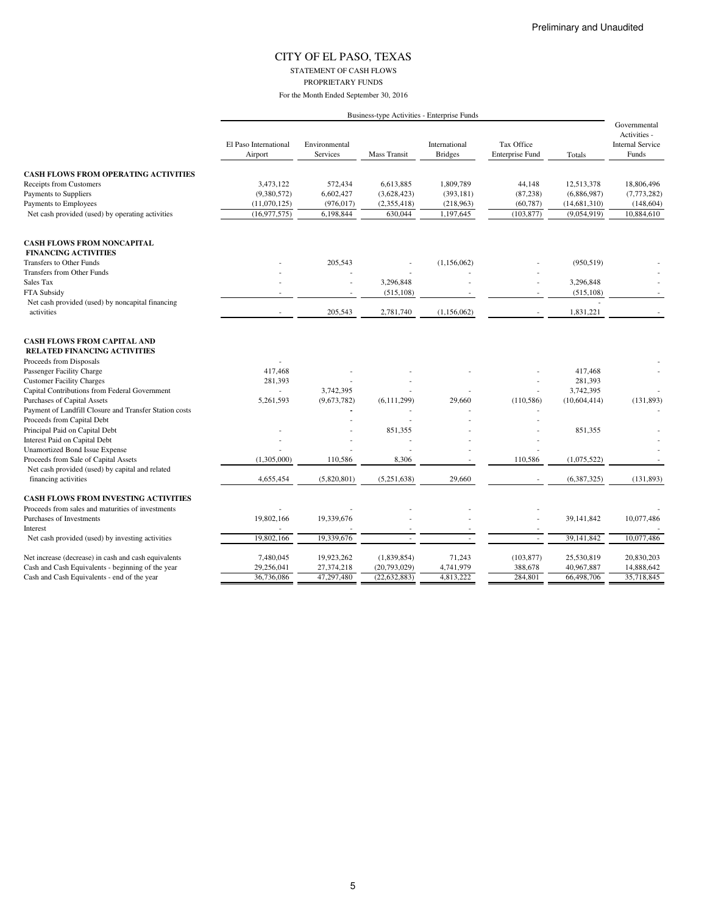STATEMENT OF CASH FLOWS PROPRIETARY FUNDS

| Business-type Activities - Enterprise Funds |  |  |
|---------------------------------------------|--|--|
|                                             |  |  |
|                                             |  |  |

|                                                                                              | El Paso International<br>Airport | Environmental<br><b>Services</b> | <b>Mass Transit</b> | International<br><b>Bridges</b> | Tax Office<br><b>Enterprise Fund</b> | Totals       | Governmental<br>Activities -<br><b>Internal Service</b><br>Funds |
|----------------------------------------------------------------------------------------------|----------------------------------|----------------------------------|---------------------|---------------------------------|--------------------------------------|--------------|------------------------------------------------------------------|
| <b>CASH FLOWS FROM OPERATING ACTIVITIES</b>                                                  |                                  |                                  |                     |                                 |                                      |              |                                                                  |
| Receipts from Customers                                                                      | 3,473,122                        | 572,434                          | 6,613,885           | 1,809,789                       | 44,148                               | 12,513,378   | 18,806,496                                                       |
| Payments to Suppliers                                                                        | (9,380,572)                      | 6,602,427                        | (3,628,423)         | (393, 181)                      | (87, 238)                            | (6,886,987)  | (7,773,282)                                                      |
| Payments to Employees                                                                        | (11,070,125)                     | (976, 017)                       | (2,355,418)         | (218,963)                       | (60, 787)                            | (14,681,310) | (148, 604)                                                       |
| Net cash provided (used) by operating activities                                             | (16, 977, 575)                   | 6,198,844                        | 630,044             | 1,197,645                       | (103, 877)                           | (9,054,919)  | 10,884,610                                                       |
| <b>CASH FLOWS FROM NONCAPITAL</b><br><b>FINANCING ACTIVITIES</b><br>Transfers to Other Funds |                                  | 205,543                          |                     | (1, 156, 062)                   |                                      | (950, 519)   |                                                                  |
| Transfers from Other Funds                                                                   |                                  |                                  |                     |                                 |                                      |              |                                                                  |
| Sales Tax                                                                                    |                                  |                                  | 3,296,848           |                                 |                                      | 3,296,848    |                                                                  |
| FTA Subsidy                                                                                  |                                  |                                  | (515, 108)          |                                 |                                      | (515, 108)   |                                                                  |
| Net cash provided (used) by noncapital financing                                             |                                  |                                  |                     |                                 |                                      |              |                                                                  |
| activities                                                                                   |                                  | 205,543                          | 2,781,740           | (1,156,062)                     |                                      | 1,831,221    |                                                                  |
| <b>CASH FLOWS FROM CAPITAL AND</b><br><b>RELATED FINANCING ACTIVITIES</b>                    |                                  |                                  |                     |                                 |                                      |              |                                                                  |
| Proceeds from Disposals                                                                      |                                  |                                  |                     |                                 |                                      |              |                                                                  |
| Passenger Facility Charge                                                                    | 417,468                          |                                  |                     |                                 |                                      | 417,468      |                                                                  |
| <b>Customer Facility Charges</b>                                                             | 281,393                          |                                  |                     |                                 |                                      | 281,393      |                                                                  |
| Capital Contributions from Federal Government                                                |                                  | 3,742,395                        |                     |                                 |                                      | 3,742,395    |                                                                  |
| Purchases of Capital Assets                                                                  | 5,261,593                        | (9,673,782)                      | (6, 111, 299)       | 29,660                          | (110, 586)                           | (10,604,414) | (131, 893)                                                       |
| Payment of Landfill Closure and Transfer Station costs<br>Proceeds from Capital Debt         |                                  |                                  |                     |                                 |                                      |              |                                                                  |
| Principal Paid on Capital Debt                                                               |                                  |                                  |                     |                                 |                                      | 851,355      |                                                                  |
| Interest Paid on Capital Debt                                                                |                                  |                                  | 851,355             |                                 |                                      |              |                                                                  |
| <b>Unamortized Bond Issue Expense</b>                                                        |                                  |                                  |                     |                                 |                                      |              |                                                                  |
| Proceeds from Sale of Capital Assets                                                         | (1,305,000)                      | 110,586                          | 8,306               |                                 | 110,586                              | (1,075,522)  |                                                                  |
| Net cash provided (used) by capital and related                                              |                                  |                                  |                     |                                 |                                      |              |                                                                  |
| financing activities                                                                         | 4,655,454                        | (5,820,801)                      | (5,251,638)         | 29,660                          |                                      | (6,387,325)  | (131, 893)                                                       |
| <b>CASH FLOWS FROM INVESTING ACTIVITIES</b>                                                  |                                  |                                  |                     |                                 |                                      |              |                                                                  |
| Proceeds from sales and maturities of investments                                            |                                  |                                  |                     |                                 |                                      |              |                                                                  |
| Purchases of Investments                                                                     | 19,802,166                       | 19,339,676                       |                     |                                 |                                      | 39,141,842   | 10,077,486                                                       |
| Interest                                                                                     |                                  |                                  |                     |                                 |                                      |              |                                                                  |
| Net cash provided (used) by investing activities                                             | 19,802,166                       | 19,339,676                       |                     |                                 |                                      | 39,141,842   | 10,077,486                                                       |
| Net increase (decrease) in cash and cash equivalents                                         | 7,480,045                        | 19,923,262                       | (1,839,854)         | 71,243                          | (103, 877)                           | 25,530,819   | 20,830,203                                                       |
| Cash and Cash Equivalents - beginning of the year                                            | 29,256,041                       | 27,374,218                       | (20,793,029)        | 4,741,979                       | 388,678                              | 40,967,887   | 14,888,642                                                       |
| Cash and Cash Equivalents - end of the year                                                  | 36,736,086                       | 47,297,480                       | (22, 632, 883)      | 4,813,222                       | 284,801                              | 66,498,706   | 35,718,845                                                       |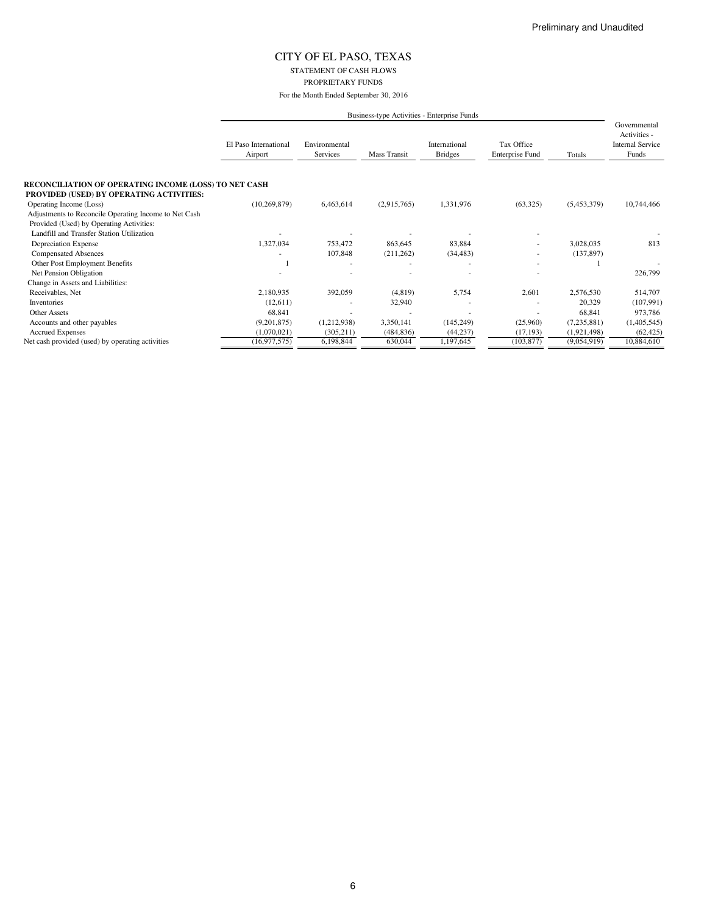STATEMENT OF CASH FLOWS PROPRIETARY FUNDS

|                                                                                                          |                                  |                           |              | Business-type Activities - Enterprise Funds |                                      |             |                                                                  |
|----------------------------------------------------------------------------------------------------------|----------------------------------|---------------------------|--------------|---------------------------------------------|--------------------------------------|-------------|------------------------------------------------------------------|
|                                                                                                          | El Paso International<br>Airport | Environmental<br>Services | Mass Transit | International<br><b>Bridges</b>             | Tax Office<br><b>Enterprise Fund</b> | Totals      | Governmental<br>Activities -<br><b>Internal Service</b><br>Funds |
| RECONCILIATION OF OPERATING INCOME (LOSS) TO NET CASH<br><b>PROVIDED (USED) BY OPERATING ACTIVITIES:</b> |                                  |                           |              |                                             |                                      |             |                                                                  |
| Operating Income (Loss)                                                                                  | (10, 269, 879)                   | 6,463,614                 | (2,915,765)  | 1,331,976                                   | (63,325)                             | (5,453,379) | 10,744,466                                                       |
| Adjustments to Reconcile Operating Income to Net Cash                                                    |                                  |                           |              |                                             |                                      |             |                                                                  |
| Provided (Used) by Operating Activities:                                                                 |                                  |                           |              |                                             |                                      |             |                                                                  |
| Landfill and Transfer Station Utilization                                                                |                                  |                           |              |                                             |                                      |             |                                                                  |
| Depreciation Expense                                                                                     | 1,327,034                        | 753,472                   | 863,645      | 83,884                                      | ٠                                    | 3,028,035   | 813                                                              |
| <b>Compensated Absences</b>                                                                              |                                  | 107,848                   | (211, 262)   | (34, 483)                                   | ٠                                    | (137, 897)  |                                                                  |
| Other Post Employment Benefits                                                                           |                                  |                           |              |                                             |                                      |             |                                                                  |
| Net Pension Obligation                                                                                   |                                  |                           |              |                                             |                                      |             | 226,799                                                          |
| Change in Assets and Liabilities:                                                                        |                                  |                           |              |                                             |                                      |             |                                                                  |
| Receivables, Net                                                                                         | 2,180,935                        | 392,059                   | (4,819)      | 5,754                                       | 2,601                                | 2,576,530   | 514,707                                                          |
| Inventories                                                                                              | (12,611)                         |                           | 32,940       |                                             |                                      | 20,329      | (107, 991)                                                       |
| <b>Other Assets</b>                                                                                      | 68,841                           |                           |              |                                             | ٠                                    | 68,841      | 973,786                                                          |
| Accounts and other payables                                                                              | (9,201,875)                      | (1,212,938)               | 3,350,141    | (145, 249)                                  | (25,960)                             | (7,235,881) | (1,405,545)                                                      |
| <b>Accrued Expenses</b>                                                                                  | (1,070,021)                      | (305, 211)                | (484, 836)   | (44, 237)                                   | (17, 193)                            | (1,921,498) | (62, 425)                                                        |
| Net cash provided (used) by operating activities                                                         | (16, 977, 575)                   | 6,198,844                 | 630,044      | 1,197,645                                   | (103, 877)                           | (9,054,919) | 10,884,610                                                       |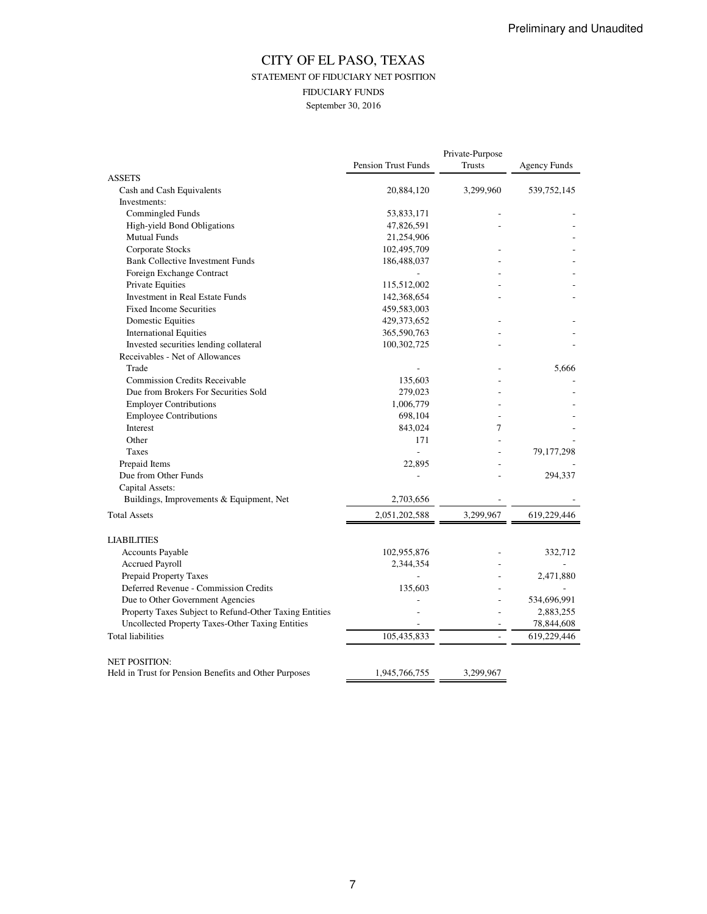### CITY OF EL PASO, TEXAS STATEMENT OF FIDUCIARY NET POSITION FIDUCIARY FUNDS September 30, 2016

|                                                        |                            | Private-Purpose          |                     |
|--------------------------------------------------------|----------------------------|--------------------------|---------------------|
|                                                        | <b>Pension Trust Funds</b> | Trusts                   | <b>Agency Funds</b> |
| <b>ASSETS</b>                                          |                            |                          |                     |
| Cash and Cash Equivalents                              | 20,884,120                 | 3,299,960                | 539, 752, 145       |
| Investments:                                           |                            |                          |                     |
| Commingled Funds                                       | 53,833,171                 |                          |                     |
| High-yield Bond Obligations                            | 47,826,591                 |                          |                     |
| <b>Mutual Funds</b>                                    | 21,254,906                 |                          |                     |
| Corporate Stocks                                       | 102,495,709                |                          |                     |
| <b>Bank Collective Investment Funds</b>                | 186,488,037                |                          |                     |
| Foreign Exchange Contract                              |                            |                          |                     |
| Private Equities                                       | 115,512,002                |                          |                     |
| Investment in Real Estate Funds                        | 142,368,654                |                          |                     |
| <b>Fixed Income Securities</b>                         | 459,583,003                |                          |                     |
| <b>Domestic Equities</b>                               | 429,373,652                |                          |                     |
| <b>International Equities</b>                          | 365,590,763                |                          |                     |
| Invested securities lending collateral                 | 100,302,725                |                          |                     |
| Receivables - Net of Allowances                        |                            |                          |                     |
| Trade                                                  |                            |                          | 5.666               |
| <b>Commission Credits Receivable</b>                   | 135,603                    |                          |                     |
| Due from Brokers For Securities Sold                   | 279,023                    |                          |                     |
| <b>Employer Contributions</b>                          | 1,006,779                  |                          |                     |
| <b>Employee Contributions</b>                          | 698,104                    |                          |                     |
| Interest                                               | 843,024                    | 7                        |                     |
| Other                                                  | 171                        |                          |                     |
| Taxes                                                  | $\overline{a}$             |                          | 79,177,298          |
| Prepaid Items                                          | 22,895                     |                          |                     |
| Due from Other Funds                                   |                            |                          | 294,337             |
| Capital Assets:                                        |                            |                          |                     |
| Buildings, Improvements & Equipment, Net               | 2,703,656                  |                          |                     |
| <b>Total Assets</b>                                    | 2,051,202,588              | 3,299,967                | 619,229,446         |
| <b>LIABILITIES</b>                                     |                            |                          |                     |
| <b>Accounts Payable</b>                                | 102,955,876                |                          | 332,712             |
| <b>Accrued Payroll</b>                                 | 2,344,354                  |                          |                     |
| Prepaid Property Taxes                                 |                            |                          | 2,471,880           |
| Deferred Revenue - Commission Credits                  | 135,603                    |                          |                     |
| Due to Other Government Agencies                       |                            |                          | 534,696,991         |
| Property Taxes Subject to Refund-Other Taxing Entities |                            |                          | 2,883,255           |
| Uncollected Property Taxes-Other Taxing Entities       |                            |                          | 78,844,608          |
| <b>Total liabilities</b>                               | 105,435,833                | $\overline{\phantom{a}}$ | 619,229,446         |
| <b>NET POSITION:</b>                                   |                            |                          |                     |
| Held in Trust for Pension Benefits and Other Purposes  | 1,945,766,755              | 3,299,967                |                     |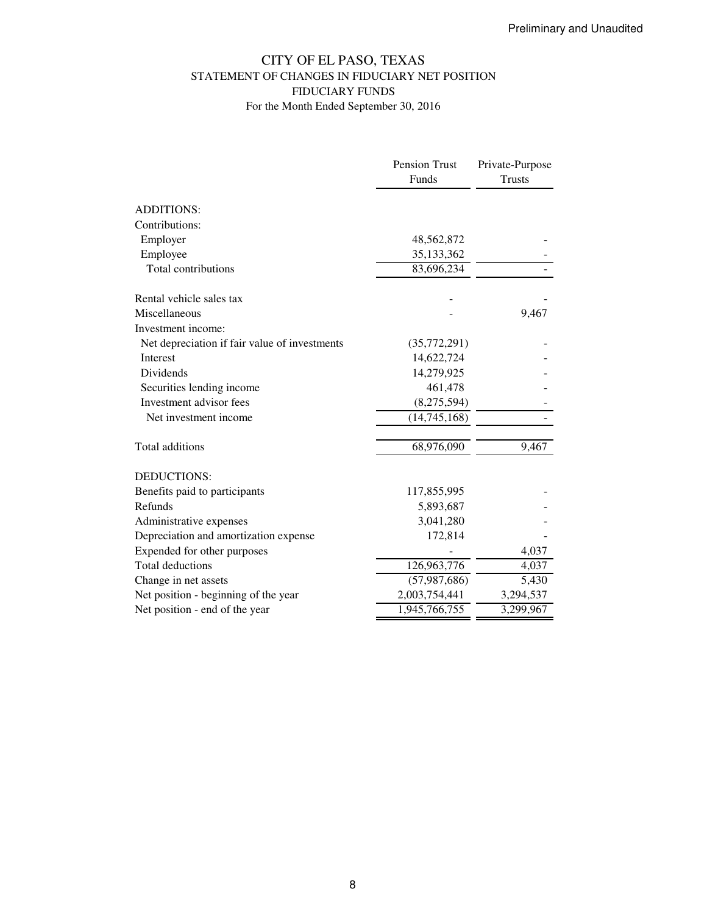## CITY OF EL PASO, TEXAS STATEMENT OF CHANGES IN FIDUCIARY NET POSITION FIDUCIARY FUNDS For the Month Ended September 30, 2016

|                                               | Pension Trust  | Private-Purpose |
|-----------------------------------------------|----------------|-----------------|
|                                               | Funds          | <b>Trusts</b>   |
|                                               |                |                 |
| <b>ADDITIONS:</b>                             |                |                 |
| Contributions:                                |                |                 |
| Employer                                      | 48,562,872     |                 |
| Employee                                      | 35, 133, 362   |                 |
| Total contributions                           | 83,696,234     |                 |
| Rental vehicle sales tax                      |                |                 |
| Miscellaneous                                 |                | 9,467           |
| Investment income:                            |                |                 |
| Net depreciation if fair value of investments | (35,772,291)   |                 |
| Interest                                      | 14,622,724     |                 |
| <b>Dividends</b>                              | 14,279,925     |                 |
| Securities lending income                     | 461,478        |                 |
| Investment advisor fees                       | (8,275,594)    |                 |
| Net investment income                         | (14,745,168)   |                 |
| Total additions                               | 68,976,090     | 9,467           |
| <b>DEDUCTIONS:</b>                            |                |                 |
| Benefits paid to participants                 | 117,855,995    |                 |
| Refunds                                       | 5,893,687      |                 |
| Administrative expenses                       | 3,041,280      |                 |
| Depreciation and amortization expense         | 172,814        |                 |
| Expended for other purposes                   |                | 4,037           |
| <b>Total deductions</b>                       | 126,963,776    | 4,037           |
| Change in net assets                          | (57, 987, 686) | 5,430           |
| Net position - beginning of the year          | 2,003,754,441  | 3,294,537       |
| Net position - end of the year                | 1,945,766,755  | 3,299,967       |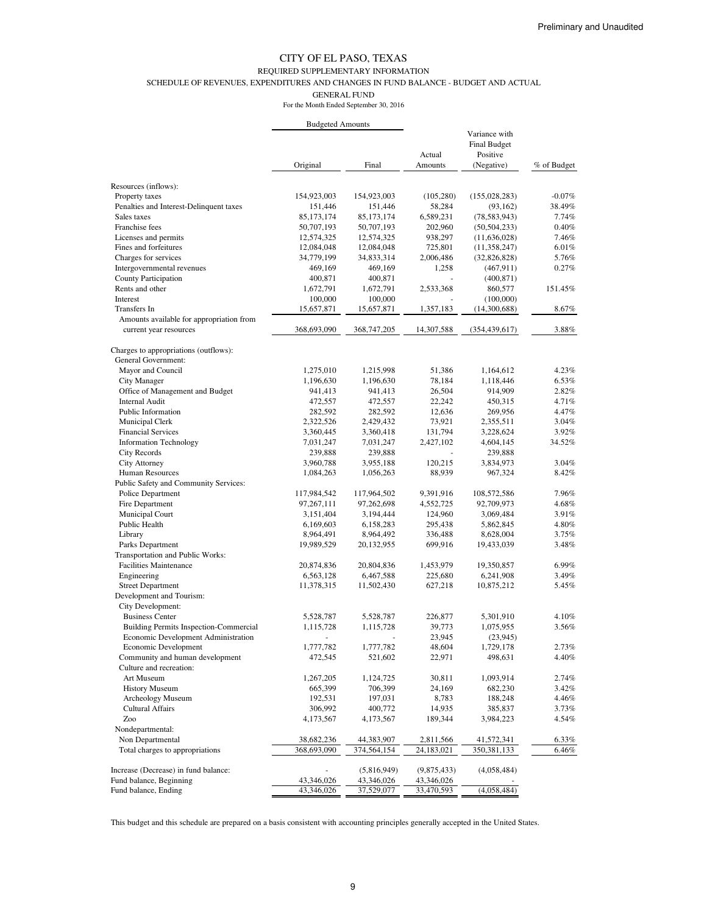### REQUIRED SUPPLEMENTARY INFORMATION

SCHEDULE OF REVENUES, EXPENDITURES AND CHANGES IN FUND BALANCE - BUDGET AND ACTUAL

GENERAL FUND

For the Month Ended September 30, 2016

|                                                            | <b>Budgeted Amounts</b> |             |             |                                                  |             |
|------------------------------------------------------------|-------------------------|-------------|-------------|--------------------------------------------------|-------------|
|                                                            |                         |             | Actual      | Variance with<br><b>Final Budget</b><br>Positive |             |
|                                                            | Original                | Final       | Amounts     | (Negative)                                       | % of Budget |
| Resources (inflows):                                       |                         |             |             |                                                  |             |
| Property taxes                                             | 154,923,003             | 154,923,003 | (105, 280)  | (155, 028, 283)                                  | $-0.07%$    |
| Penalties and Interest-Delinquent taxes                    | 151,446                 | 151,446     | 58,284      | (93, 162)                                        | 38.49%      |
| Sales taxes                                                | 85,173,174              | 85,173,174  | 6,589,231   | (78, 583, 943)                                   | 7.74%       |
| Franchise fees                                             | 50,707,193              | 50,707,193  | 202,960     | (50, 504, 233)                                   | 0.40%       |
| Licenses and permits                                       | 12,574,325              | 12,574,325  | 938,297     | (11, 636, 028)                                   | 7.46%       |
| Fines and forfeitures                                      | 12,084,048              | 12,084,048  | 725,801     | (11,358,247)                                     | 6.01%       |
| Charges for services                                       | 34,779,199              | 34,833,314  | 2,006,486   | (32,826,828)                                     | 5.76%       |
| Intergovernmental revenues                                 | 469,169                 | 469,169     | 1,258       | (467, 911)                                       | 0.27%       |
| <b>County Participation</b>                                | 400,871                 | 400,871     |             | (400, 871)                                       |             |
| Rents and other                                            | 1,672,791               | 1,672,791   | 2,533,368   | 860,577                                          | 151.45%     |
| Interest                                                   | 100,000                 | 100,000     |             | (100,000)                                        |             |
| Transfers In                                               | 15,657,871              | 15,657,871  | 1,357,183   | (14,300,688)                                     | 8.67%       |
| Amounts available for appropriation from                   |                         |             |             |                                                  |             |
| current year resources                                     | 368,693,090             | 368,747,205 | 14,307,588  | (354, 439, 617)                                  | 3.88%       |
| Charges to appropriations (outflows):                      |                         |             |             |                                                  |             |
| <b>General Government:</b>                                 |                         |             |             |                                                  |             |
| Mayor and Council                                          | 1,275,010               | 1,215,998   | 51,386      | 1,164,612                                        | 4.23%       |
| <b>City Manager</b>                                        | 1,196,630               | 1,196,630   | 78,184      | 1,118,446                                        | 6.53%       |
| Office of Management and Budget                            | 941,413                 | 941,413     | 26,504      | 914,909                                          | 2.82%       |
| <b>Internal Audit</b>                                      | 472,557                 | 472,557     | 22,242      | 450,315                                          | 4.71%       |
| Public Information                                         | 282,592                 | 282,592     | 12,636      | 269,956                                          | 4.47%       |
| Municipal Clerk                                            | 2,322,526               | 2,429,432   | 73,921      | 2,355,511                                        | $3.04\%$    |
| <b>Financial Services</b>                                  | 3,360,445               | 3,360,418   | 131,794     | 3,228,624                                        | 3.92%       |
| <b>Information Technology</b>                              | 7,031,247               | 7,031,247   | 2,427,102   | 4,604,145                                        | 34.52%      |
| <b>City Records</b>                                        | 239,888                 | 239,888     |             | 239,888                                          |             |
| <b>City Attorney</b>                                       | 3,960,788               | 3,955,188   | 120,215     | 3,834,973                                        | 3.04%       |
| Human Resources                                            | 1,084,263               | 1,056,263   | 88,939      | 967,324                                          | 8.42%       |
| Public Safety and Community Services:                      |                         |             |             |                                                  |             |
| Police Department                                          | 117,984,542             | 117,964,502 | 9,391,916   | 108,572,586                                      | 7.96%       |
| Fire Department                                            | 97,267,111              | 97,262,698  | 4,552,725   | 92,709,973                                       | 4.68%       |
| Municipal Court                                            | 3,151,404               | 3,194,444   | 124,960     | 3,069,484                                        | 3.91%       |
| Public Health                                              | 6,169,603               | 6,158,283   | 295,438     | 5,862,845                                        | 4.80%       |
| Library                                                    | 8,964,491               | 8,964,492   | 336,488     | 8,628,004                                        | 3.75%       |
| Parks Department                                           | 19,989,529              | 20,132,955  | 699,916     | 19,433,039                                       | 3.48%       |
| Transportation and Public Works:                           |                         |             |             |                                                  |             |
| <b>Facilities Maintenance</b>                              | 20,874,836              | 20,804,836  | 1,453,979   | 19,350,857                                       | $6.99\%$    |
| Engineering                                                | 6,563,128               | 6,467,588   | 225,680     | 6,241,908                                        | 3.49%       |
| <b>Street Department</b>                                   | 11,378,315              | 11,502,430  | 627,218     | 10,875,212                                       | 5.45%       |
| Development and Tourism:                                   |                         |             |             |                                                  |             |
| City Development:                                          |                         |             |             |                                                  |             |
| <b>Business Center</b>                                     | 5,528,787               | 5,528,787   | 226,877     | 5,301,910                                        | 4.10%       |
| <b>Building Permits Inspection-Commercial</b>              | 1,115,728               | 1,115,728   | 39,773      | 1,075,955                                        | 3.56%       |
| Economic Development Administration                        |                         |             | 23,945      | (23,945)                                         |             |
| Economic Development                                       | 1,777,782               | 1,777,782   | 48,604      | 1,729,178                                        | 2.73%       |
| Community and human development<br>Culture and recreation: | 472,545                 | 521,602     | 22,971      | 498,631                                          | 4.40%       |
| Art Museum                                                 | 1,267,205               | 1,124,725   | 30,811      | 1,093,914                                        | 2.74%       |
| <b>History Museum</b>                                      | 665,399                 | 706,399     | 24,169      | 682,230                                          | 3.42%       |
| Archeology Museum                                          | 192,531                 | 197,031     | 8,783       | 188,248                                          | 4.46%       |
| <b>Cultural Affairs</b>                                    | 306,992                 | 400,772     | 14,935      | 385,837                                          | 3.73%       |
| Zoo                                                        | 4,173,567               | 4,173,567   | 189,344     | 3,984,223                                        | 4.54%       |
| Nondepartmental:                                           |                         |             |             |                                                  |             |
| Non Departmental                                           | 38,682,236              | 44,383,907  | 2,811,566   | 41,572,341                                       | 6.33%       |
| Total charges to appropriations                            | 368,693,090             | 374,564,154 | 24,183,021  | 350,381,133                                      | 6.46%       |
| Increase (Decrease) in fund balance:                       |                         | (5,816,949) | (9,875,433) | (4,058,484)                                      |             |
| Fund balance, Beginning                                    | 43,346,026              | 43,346,026  | 43,346,026  |                                                  |             |
| Fund balance, Ending                                       | 43,346,026              | 37,529,077  | 33,470,593  | (4,058,484)                                      |             |

This budget and this schedule are prepared on a basis consistent with accounting principles generally accepted in the United States.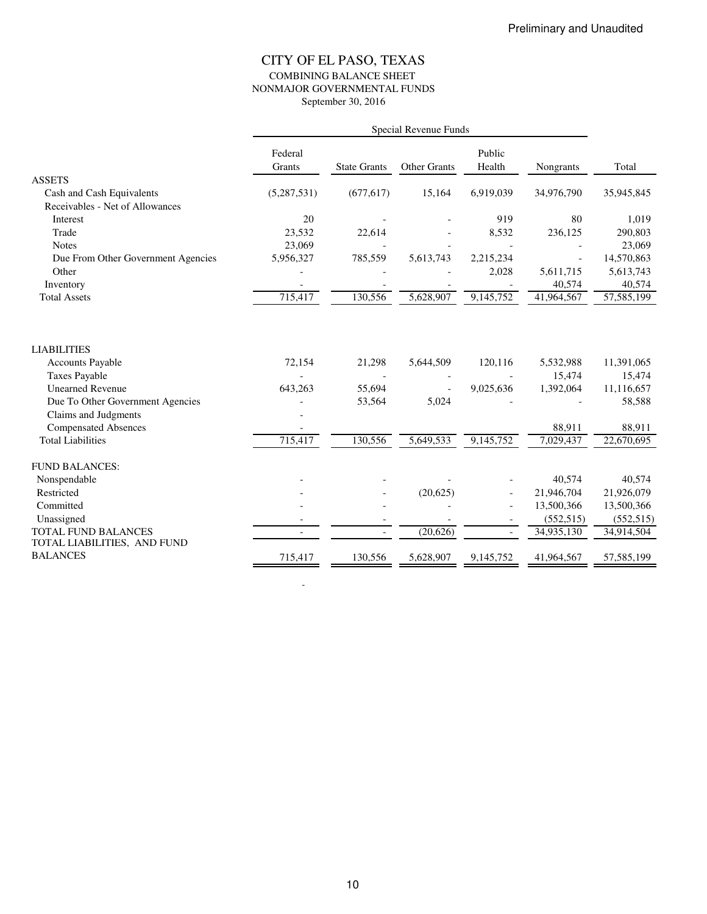### CITY OF EL PASO, TEXAS COMBINING BALANCE SHEET NONMAJOR GOVERNMENTAL FUNDS September 30, 2016

|                                                    |                          |                          | Special Revenue Funds |           |            |            |
|----------------------------------------------------|--------------------------|--------------------------|-----------------------|-----------|------------|------------|
|                                                    | Federal                  |                          |                       | Public    |            |            |
|                                                    | Grants                   | <b>State Grants</b>      | <b>Other Grants</b>   | Health    | Nongrants  | Total      |
| <b>ASSETS</b>                                      |                          |                          |                       |           |            |            |
| Cash and Cash Equivalents                          | (5,287,531)              | (677, 617)               | 15,164                | 6,919,039 | 34,976,790 | 35,945,845 |
| Receivables - Net of Allowances                    |                          |                          |                       |           |            |            |
| Interest                                           | 20                       |                          |                       | 919       | 80         | 1,019      |
| Trade                                              | 23,532                   | 22,614                   |                       | 8,532     | 236,125    | 290,803    |
| <b>Notes</b>                                       | 23,069                   |                          |                       |           |            | 23,069     |
| Due From Other Government Agencies                 | 5,956,327                | 785,559                  | 5,613,743             | 2,215,234 |            | 14,570,863 |
| Other                                              |                          |                          |                       | 2,028     | 5,611,715  | 5,613,743  |
| Inventory                                          | $\overline{\phantom{a}}$ |                          |                       |           | 40,574     | 40,574     |
| <b>Total Assets</b>                                | 715,417                  | 130,556                  | 5,628,907             | 9,145,752 | 41,964,567 | 57,585,199 |
|                                                    |                          |                          |                       |           |            |            |
| <b>LIABILITIES</b>                                 |                          |                          |                       |           |            |            |
| <b>Accounts Payable</b>                            | 72,154                   | 21,298                   | 5,644,509             | 120,116   | 5,532,988  | 11,391,065 |
| <b>Taxes Payable</b>                               |                          |                          |                       |           | 15,474     | 15,474     |
| <b>Unearned Revenue</b>                            | 643,263                  | 55,694                   |                       | 9,025,636 | 1,392,064  | 11,116,657 |
| Due To Other Government Agencies                   |                          | 53,564                   | 5,024                 |           |            | 58,588     |
| Claims and Judgments                               |                          |                          |                       |           |            |            |
| <b>Compensated Absences</b>                        |                          |                          |                       |           | 88,911     | 88,911     |
| <b>Total Liabilities</b>                           | 715,417                  | 130,556                  | 5,649,533             | 9,145,752 | 7,029,437  | 22,670,695 |
| <b>FUND BALANCES:</b>                              |                          |                          |                       |           |            |            |
| Nonspendable                                       |                          |                          |                       |           | 40,574     | 40,574     |
| Restricted                                         |                          |                          | (20,625)              |           | 21,946,704 | 21,926,079 |
| Committed                                          |                          |                          |                       |           | 13,500,366 | 13,500,366 |
| Unassigned                                         |                          | $\overline{\phantom{a}}$ |                       |           | (552, 515) | (552, 515) |
| TOTAL FUND BALANCES<br>TOTAL LIABILITIES, AND FUND |                          |                          | (20, 626)             |           | 34,935,130 | 34,914,504 |
| <b>BALANCES</b>                                    | 715,417                  | 130,556                  | 5,628,907             | 9,145,752 | 41,964,567 | 57,585,199 |

-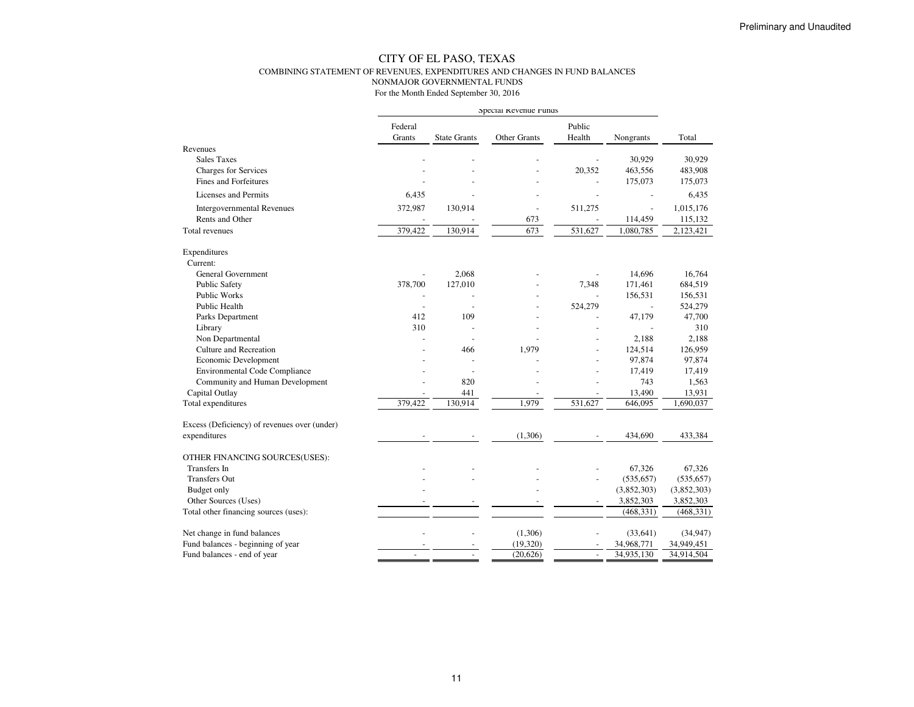#### CITY OF EL PASO, TEXAS COMBINING STATEMENT OF REVENUES, EXPENDITURES AND CHANGES IN FUND BALANCESNONMAJOR GOVERNMENTAL FUNDS

|                                              |                |                     | Special Revenue runds |                |                          |             |
|----------------------------------------------|----------------|---------------------|-----------------------|----------------|--------------------------|-------------|
|                                              | Federal        |                     |                       | Public         |                          |             |
|                                              | Grants         | <b>State Grants</b> | Other Grants          | Health         | Nongrants                | Total       |
| Revenues                                     |                |                     |                       |                |                          |             |
| <b>Sales Taxes</b>                           |                |                     |                       |                | 30,929                   | 30,929      |
| <b>Charges for Services</b>                  |                |                     |                       | 20,352         | 463,556                  | 483,908     |
| <b>Fines and Forfeitures</b>                 |                |                     |                       |                | 175,073                  | 175,073     |
| Licenses and Permits                         | 6,435          |                     |                       |                |                          | 6,435       |
| <b>Intergovernmental Revenues</b>            | 372,987        | 130,914             | L,                    | 511,275        | $\overline{\phantom{a}}$ | 1,015,176   |
| Rents and Other                              |                |                     | 673                   |                | 114,459                  | 115,132     |
| Total revenues                               | 379,422        | 130,914             | 673                   | 531,627        | 1,080,785                | 2,123,421   |
| Expenditures                                 |                |                     |                       |                |                          |             |
| Current:                                     |                |                     |                       |                |                          |             |
| <b>General Government</b>                    | $\overline{a}$ | 2,068               |                       |                | 14,696                   | 16,764      |
| <b>Public Safety</b>                         | 378,700        | 127,010             |                       | 7,348          | 171,461                  | 684,519     |
| Public Works                                 |                |                     |                       |                | 156,531                  | 156,531     |
| Public Health                                |                |                     |                       | 524,279        | $\overline{\phantom{a}}$ | 524,279     |
| Parks Department                             | 412            | 109                 |                       |                | 47,179                   | 47,700      |
| Library                                      | 310            |                     |                       |                |                          | 310         |
| Non Departmental                             |                | $\overline{a}$      |                       |                | 2,188                    | 2,188       |
| Culture and Recreation                       |                | 466                 | 1,979                 |                | 124,514                  | 126,959     |
| Economic Development                         |                |                     |                       |                | 97,874                   | 97,874      |
| <b>Environmental Code Compliance</b>         |                | $\sim$              |                       |                | 17,419                   | 17,419      |
| Community and Human Development              |                | 820                 |                       |                | 743                      | 1,563       |
| Capital Outlay                               |                | 441                 |                       |                | 13,490                   | 13,931      |
| Total expenditures                           | 379,422        | 130,914             | 1,979                 | 531,627        | 646,095                  | 1,690,037   |
| Excess (Deficiency) of revenues over (under) |                |                     |                       |                |                          |             |
| expenditures                                 |                |                     | (1,306)               |                | 434,690                  | 433,384     |
| OTHER FINANCING SOURCES(USES):               |                |                     |                       |                |                          |             |
| Transfers In                                 |                |                     |                       |                | 67,326                   | 67,326      |
| <b>Transfers Out</b>                         |                |                     |                       |                | (535, 657)               | (535, 657)  |
| Budget only                                  |                |                     |                       |                | (3,852,303)              | (3,852,303) |
| Other Sources (Uses)                         |                |                     |                       |                | 3,852,303                | 3,852,303   |
| Total other financing sources (uses):        |                |                     |                       |                | (468, 331)               | (468, 331)  |
| Net change in fund balances                  |                |                     | (1,306)               |                | (33, 641)                | (34, 947)   |
| Fund balances - beginning of year            |                |                     | (19,320)              |                | 34,968,771               | 34,949,451  |
| Fund balances - end of year                  |                |                     | (20,626)              | $\overline{a}$ | 34,935,130               | 34,914,504  |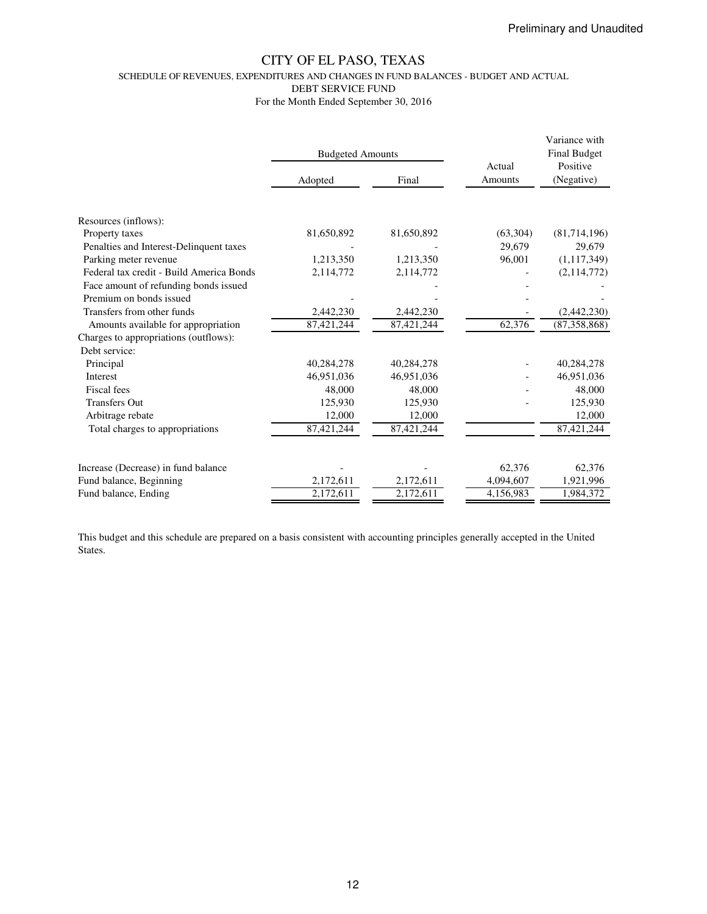SCHEDULE OF REVENUES, EXPENDITURES AND CHANGES IN FUND BALANCES - BUDGET AND ACTUAL

DEBT SERVICE FUND

For the Month Ended September 30, 2016

|                                          | <b>Budgeted Amounts</b> |                           | Actual    | Variance with<br><b>Final Budget</b><br>Positive |  |
|------------------------------------------|-------------------------|---------------------------|-----------|--------------------------------------------------|--|
|                                          | Adopted                 | Final                     | Amounts   | (Negative)                                       |  |
|                                          |                         |                           |           |                                                  |  |
| Resources (inflows):                     |                         |                           |           |                                                  |  |
| Property taxes                           | 81,650,892              | 81,650,892                | (63,304)  | (81,714,196)                                     |  |
| Penalties and Interest-Delinquent taxes  |                         |                           | 29,679    | 29,679                                           |  |
| Parking meter revenue                    | 1,213,350               | 1,213,350                 | 96,001    | (1,117,349)                                      |  |
| Federal tax credit - Build America Bonds | 2,114,772               | 2,114,772                 |           | (2,114,772)                                      |  |
| Face amount of refunding bonds issued    |                         |                           |           |                                                  |  |
| Premium on bonds issued                  |                         |                           |           |                                                  |  |
| Transfers from other funds               | 2,442,230               | 2,442,230                 |           | (2,442,230)                                      |  |
| Amounts available for appropriation      | $\overline{87,}421,244$ | $\overline{87}, 421, 244$ | 62,376    | (87,358,868)                                     |  |
| Charges to appropriations (outflows):    |                         |                           |           |                                                  |  |
| Debt service:                            |                         |                           |           |                                                  |  |
| Principal                                | 40,284,278              | 40,284,278                |           | 40,284,278                                       |  |
| Interest                                 | 46,951,036              | 46,951,036                |           | 46,951,036                                       |  |
| Fiscal fees                              | 48,000                  | 48,000                    |           | 48,000                                           |  |
| <b>Transfers Out</b>                     | 125,930                 | 125,930                   |           | 125,930                                          |  |
| Arbitrage rebate                         | 12,000                  | 12,000                    |           | 12,000                                           |  |
| Total charges to appropriations          | 87,421,244              | 87,421,244                |           | 87,421,244                                       |  |
|                                          |                         |                           |           |                                                  |  |
| Increase (Decrease) in fund balance      |                         |                           | 62,376    | 62,376                                           |  |
| Fund balance, Beginning                  | 2,172,611               | 2,172,611                 | 4,094,607 | 1,921,996                                        |  |
| Fund balance, Ending                     | 2,172,611               | 2,172,611                 | 4,156,983 | 1,984,372                                        |  |

This budget and this schedule are prepared on a basis consistent with accounting principles generally accepted in the United States.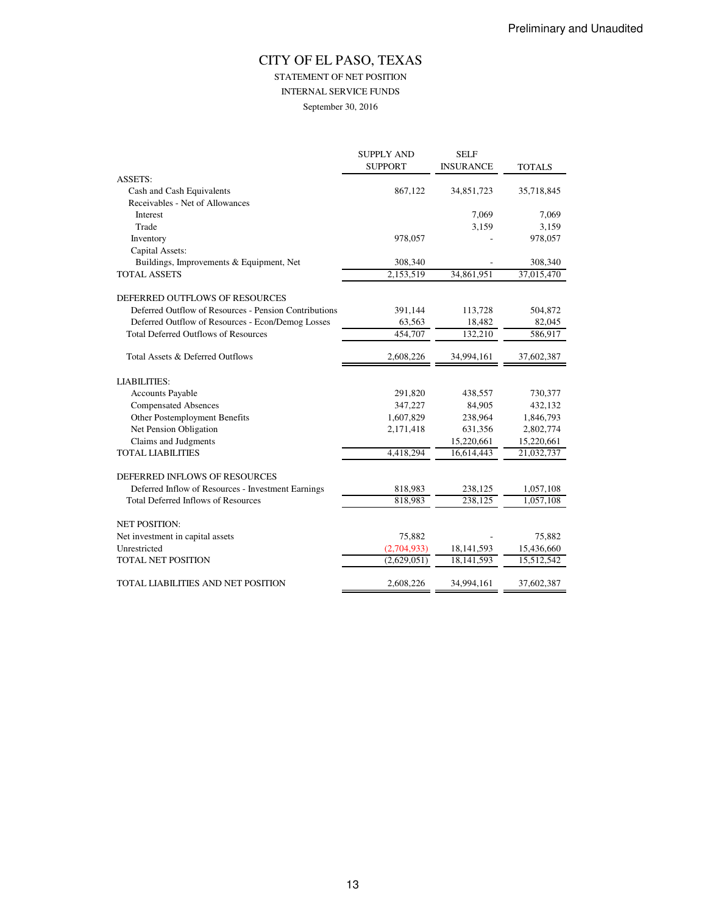## STATEMENT OF NET POSITION

INTERNAL SERVICE FUNDS

September 30, 2016

|                                                       | <b>SUPPLY AND</b> | <b>SELF</b>      |               |
|-------------------------------------------------------|-------------------|------------------|---------------|
|                                                       | <b>SUPPORT</b>    | <b>INSURANCE</b> | <b>TOTALS</b> |
| <b>ASSETS:</b>                                        |                   |                  |               |
| Cash and Cash Equivalents                             | 867,122           | 34,851,723       | 35,718,845    |
| Receivables - Net of Allowances                       |                   |                  |               |
| Interest                                              |                   | 7,069            | 7,069         |
| Trade                                                 |                   | 3,159            | 3,159         |
| Inventory                                             | 978,057           |                  | 978,057       |
| Capital Assets:                                       |                   |                  |               |
| Buildings, Improvements & Equipment, Net              | 308,340           |                  | 308,340       |
| <b>TOTAL ASSETS</b>                                   | 2,153,519         | 34,861,951       | 37,015,470    |
| DEFERRED OUTFLOWS OF RESOURCES                        |                   |                  |               |
| Deferred Outflow of Resources - Pension Contributions | 391,144           | 113,728          | 504,872       |
| Deferred Outflow of Resources - Econ/Demog Losses     | 63,563            | 18,482           | 82,045        |
| <b>Total Deferred Outflows of Resources</b>           | 454,707           | 132,210          | 586,917       |
| Total Assets & Deferred Outflows                      | 2,608,226         | 34,994,161       | 37,602,387    |
| <b>LIABILITIES:</b>                                   |                   |                  |               |
| <b>Accounts Payable</b>                               | 291,820           | 438,557          | 730,377       |
| <b>Compensated Absences</b>                           | 347,227           | 84,905           | 432,132       |
| Other Postemployment Benefits                         | 1,607,829         | 238,964          | 1,846,793     |
| Net Pension Obligation                                | 2,171,418         | 631,356          | 2,802,774     |
| Claims and Judgments                                  |                   | 15,220,661       | 15,220,661    |
| <b>TOTAL LIABILITIES</b>                              | 4,418,294         | 16,614,443       | 21,032,737    |
| DEFERRED INFLOWS OF RESOURCES                         |                   |                  |               |
| Deferred Inflow of Resources - Investment Earnings    | 818,983           | 238,125          | 1,057,108     |
| <b>Total Deferred Inflows of Resources</b>            | 818,983           | 238,125          | 1,057,108     |
| <b>NET POSITION:</b>                                  |                   |                  |               |
| Net investment in capital assets                      | 75,882            |                  | 75,882        |
| Unrestricted                                          | (2,704,933)       | 18, 141, 593     | 15,436,660    |
| <b>TOTAL NET POSITION</b>                             | (2,629,051)       | 18,141,593       | 15,512,542    |
| TOTAL LIABILITIES AND NET POSITION                    | 2,608,226         | 34,994,161       | 37,602,387    |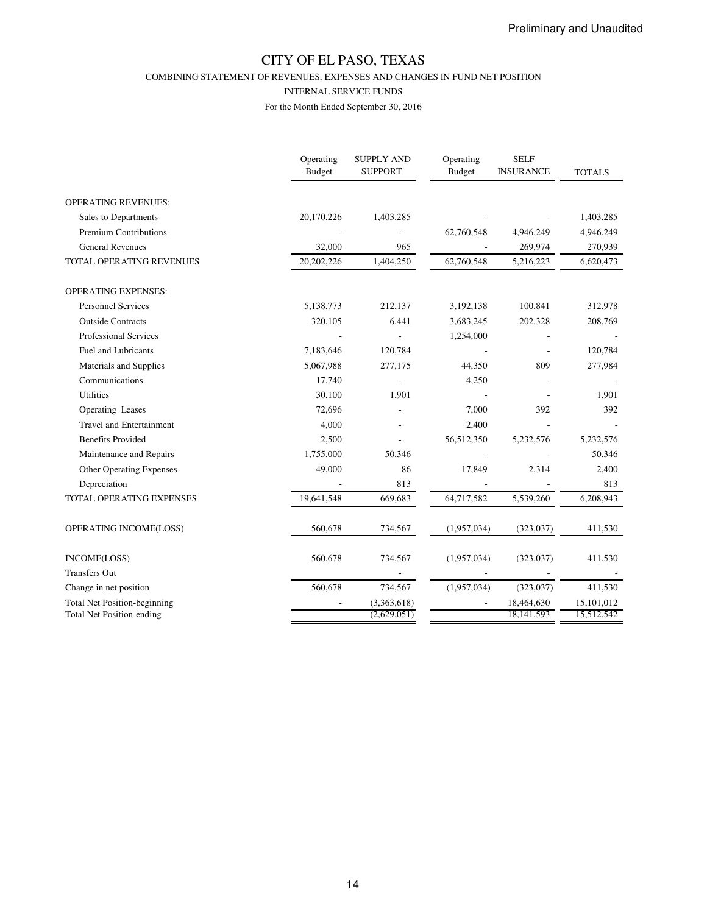COMBINING STATEMENT OF REVENUES, EXPENSES AND CHANGES IN FUND NET POSITION

#### INTERNAL SERVICE FUNDS

|                                                                         | Operating<br>Budget | <b>SUPPLY AND</b><br><b>SUPPORT</b> | Operating<br><b>Budget</b> | <b>SELF</b><br><b>INSURANCE</b> | <b>TOTALS</b>            |
|-------------------------------------------------------------------------|---------------------|-------------------------------------|----------------------------|---------------------------------|--------------------------|
| <b>OPERATING REVENUES:</b>                                              |                     |                                     |                            |                                 |                          |
| Sales to Departments                                                    | 20,170,226          | 1,403,285                           |                            |                                 | 1,403,285                |
| <b>Premium Contributions</b>                                            |                     |                                     | 62,760,548                 | 4,946,249                       | 4,946,249                |
| <b>General Revenues</b>                                                 | 32,000              | 965                                 |                            | 269,974                         | 270,939                  |
| TOTAL OPERATING REVENUES                                                | 20,202,226          | 1,404,250                           | 62,760,548                 | 5,216,223                       | 6,620,473                |
| <b>OPERATING EXPENSES:</b>                                              |                     |                                     |                            |                                 |                          |
| <b>Personnel Services</b>                                               | 5,138,773           | 212,137                             | 3,192,138                  | 100,841                         | 312,978                  |
| <b>Outside Contracts</b>                                                | 320,105             | 6,441                               | 3,683,245                  | 202,328                         | 208,769                  |
| Professional Services                                                   |                     |                                     | 1,254,000                  |                                 |                          |
| <b>Fuel and Lubricants</b>                                              | 7,183,646           | 120,784                             |                            |                                 | 120,784                  |
| Materials and Supplies                                                  | 5,067,988           | 277,175                             | 44,350                     | 809                             | 277,984                  |
| Communications                                                          | 17,740              |                                     | 4,250                      |                                 |                          |
| <b>Utilities</b>                                                        | 30,100              | 1,901                               |                            |                                 | 1,901                    |
| Operating Leases                                                        | 72,696              |                                     | 7,000                      | 392                             | 392                      |
| <b>Travel and Entertainment</b>                                         | 4,000               |                                     | 2,400                      |                                 |                          |
| <b>Benefits Provided</b>                                                | 2,500               |                                     | 56,512,350                 | 5,232,576                       | 5,232,576                |
| Maintenance and Repairs                                                 | 1,755,000           | 50,346                              |                            |                                 | 50,346                   |
| Other Operating Expenses                                                | 49,000              | 86                                  | 17,849                     | 2,314                           | 2,400                    |
| Depreciation                                                            |                     | 813                                 |                            |                                 | 813                      |
| TOTAL OPERATING EXPENSES                                                | 19,641,548          | 669,683                             | 64,717,582                 | 5,539,260                       | 6,208,943                |
| OPERATING INCOME(LOSS)                                                  | 560,678             | 734,567                             | (1,957,034)                | (323, 037)                      | 411,530                  |
| INCOME(LOSS)                                                            | 560,678             | 734,567                             | (1,957,034)                | (323, 037)                      | 411,530                  |
| <b>Transfers Out</b>                                                    |                     |                                     |                            |                                 |                          |
| Change in net position                                                  | 560,678             | 734,567                             | (1,957,034)                | (323, 037)                      | 411,530                  |
| <b>Total Net Position-beginning</b><br><b>Total Net Position-ending</b> |                     | (3,363,618)<br>(2,629,051)          |                            | 18,464,630<br>18,141,593        | 15,101,012<br>15,512,542 |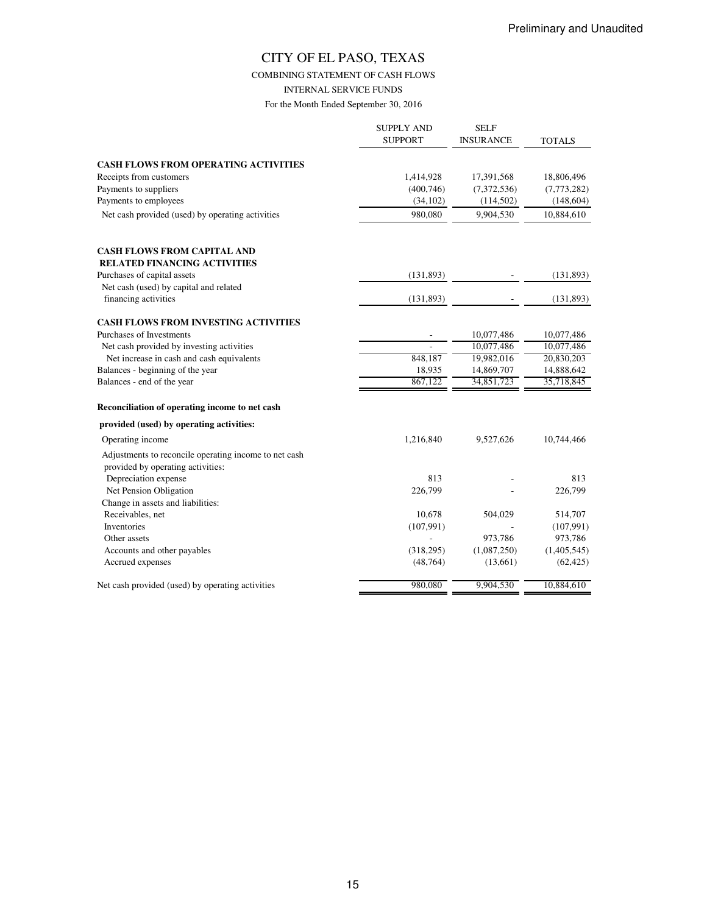COMBINING STATEMENT OF CASH FLOWS

INTERNAL SERVICE FUNDS

|                                                                                            | <b>SUPPLY AND</b><br><b>SUPPORT</b> | <b>SELF</b><br>INSURANCE | <b>TOTALS</b>          |
|--------------------------------------------------------------------------------------------|-------------------------------------|--------------------------|------------------------|
| <b>CASH FLOWS FROM OPERATING ACTIVITIES</b>                                                |                                     |                          |                        |
| Receipts from customers                                                                    | 1,414,928                           | 17,391,568               | 18,806,496             |
| Payments to suppliers                                                                      | (400, 746)                          | (7,372,536)              | (7,773,282)            |
| Payments to employees                                                                      | (34, 102)                           | (114,502)                | (148, 604)             |
| Net cash provided (used) by operating activities                                           | 980,080                             | 9,904,530                | 10,884,610             |
| <b>CASH FLOWS FROM CAPITAL AND</b><br><b>RELATED FINANCING ACTIVITIES</b>                  |                                     |                          |                        |
| Purchases of capital assets                                                                | (131, 893)                          |                          | (131, 893)             |
| Net cash (used) by capital and related                                                     |                                     |                          |                        |
| financing activities                                                                       | (131, 893)                          |                          | (131,893)              |
| <b>CASH FLOWS FROM INVESTING ACTIVITIES</b>                                                |                                     |                          |                        |
| Purchases of Investments                                                                   |                                     | 10,077,486               | 10,077,486             |
| Net cash provided by investing activities                                                  |                                     | 10,077,486               | 10,077,486             |
| Net increase in cash and cash equivalents                                                  | 848,187                             | 19,982,016               | 20,830,203             |
| Balances - beginning of the year                                                           | 18,935                              | 14,869,707               | 14,888,642             |
| Balances - end of the year                                                                 | 867.122                             | 34,851,723               | 35,718,845             |
| Reconciliation of operating income to net cash                                             |                                     |                          |                        |
| provided (used) by operating activities:                                                   |                                     |                          |                        |
| Operating income                                                                           | 1,216,840                           | 9,527,626                | 10,744,466             |
| Adjustments to reconcile operating income to net cash<br>provided by operating activities: |                                     |                          |                        |
| Depreciation expense                                                                       | 813                                 |                          | 813                    |
| Net Pension Obligation                                                                     | 226,799                             |                          | 226,799                |
| Change in assets and liabilities:                                                          |                                     |                          |                        |
| Receivables, net                                                                           | 10,678                              | 504,029                  | 514,707                |
| Inventories<br>Other assets                                                                | (107,991)                           | 973,786                  | (107,991)              |
| Accounts and other payables                                                                | (318, 295)                          | (1,087,250)              | 973,786<br>(1,405,545) |
| Accrued expenses                                                                           | (48, 764)                           | (13,661)                 | (62, 425)              |
| Net cash provided (used) by operating activities                                           | 980,080                             | 9,904,530                | 10,884,610             |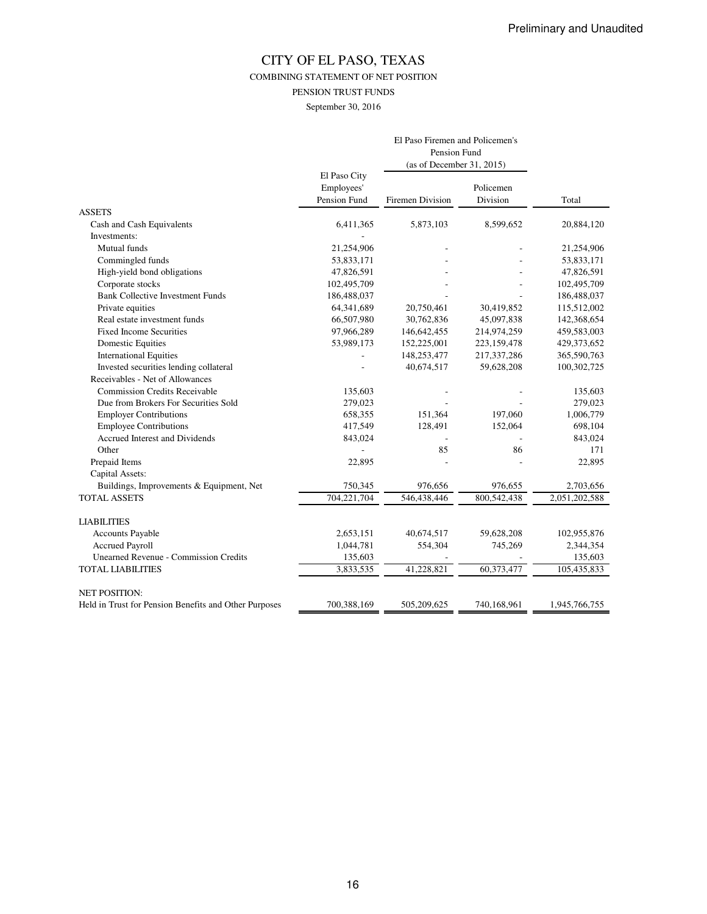COMBINING STATEMENT OF NET POSITION

PENSION TRUST FUNDS

September 30, 2016

|                                                       |                                            | El Paso Firemen and Policemen's<br>Pension Fund<br>(as of December 31, 2015) |                       |               |
|-------------------------------------------------------|--------------------------------------------|------------------------------------------------------------------------------|-----------------------|---------------|
|                                                       | El Paso City<br>Employees'<br>Pension Fund | <b>Firemen Division</b>                                                      | Policemen<br>Division | Total         |
| <b>ASSETS</b>                                         |                                            |                                                                              |                       |               |
| Cash and Cash Equivalents                             | 6,411,365                                  | 5,873,103                                                                    | 8,599,652             | 20,884,120    |
| Investments:                                          |                                            |                                                                              |                       |               |
| Mutual funds                                          | 21,254,906                                 |                                                                              |                       | 21,254,906    |
| Commingled funds                                      | 53,833,171                                 |                                                                              |                       | 53,833,171    |
| High-yield bond obligations                           | 47,826,591                                 |                                                                              |                       | 47,826,591    |
| Corporate stocks                                      | 102,495,709                                |                                                                              |                       | 102,495,709   |
| <b>Bank Collective Investment Funds</b>               | 186,488,037                                |                                                                              |                       | 186,488,037   |
| Private equities                                      | 64,341,689                                 | 20,750,461                                                                   | 30,419,852            | 115,512,002   |
| Real estate investment funds                          | 66,507,980                                 | 30,762,836                                                                   | 45,097,838            | 142,368,654   |
| <b>Fixed Income Securities</b>                        | 97,966,289                                 | 146,642,455                                                                  | 214,974,259           | 459,583,003   |
| <b>Domestic Equities</b>                              | 53,989,173                                 | 152,225,001                                                                  | 223,159,478           | 429,373,652   |
| <b>International Equities</b>                         |                                            | 148,253,477                                                                  | 217,337,286           | 365,590,763   |
| Invested securities lending collateral                |                                            | 40,674,517                                                                   | 59,628,208            | 100,302,725   |
| Receivables - Net of Allowances                       |                                            |                                                                              |                       |               |
| <b>Commission Credits Receivable</b>                  | 135,603                                    |                                                                              |                       | 135,603       |
| Due from Brokers For Securities Sold                  | 279,023                                    |                                                                              |                       | 279,023       |
| <b>Employer Contributions</b>                         | 658,355                                    | 151,364                                                                      | 197,060               | 1,006,779     |
| <b>Employee Contributions</b>                         | 417,549                                    | 128,491                                                                      | 152,064               | 698,104       |
| Accrued Interest and Dividends                        | 843,024                                    |                                                                              |                       | 843,024       |
| Other                                                 |                                            | 85                                                                           | 86                    | 171           |
| Prepaid Items                                         | 22,895                                     |                                                                              |                       | 22,895        |
| Capital Assets:                                       |                                            |                                                                              |                       |               |
| Buildings, Improvements & Equipment, Net              | 750,345                                    | 976,656                                                                      | 976,655               | 2,703,656     |
| <b>TOTAL ASSETS</b>                                   | 704,221,704                                | 546,438,446                                                                  | 800,542,438           | 2,051,202,588 |
| <b>LIABILITIES</b>                                    |                                            |                                                                              |                       |               |
| Accounts Payable                                      | 2,653,151                                  | 40,674,517                                                                   | 59,628,208            | 102,955,876   |
| <b>Accrued Payroll</b>                                | 1,044,781                                  | 554,304                                                                      | 745,269               | 2,344,354     |
| <b>Unearned Revenue - Commission Credits</b>          | 135,603                                    |                                                                              |                       | 135,603       |
| <b>TOTAL LIABILITIES</b>                              | 3,833,535                                  | 41,228,821                                                                   | 60,373,477            | 105,435,833   |
| <b>NET POSITION:</b>                                  |                                            |                                                                              |                       |               |
| Held in Trust for Pension Benefits and Other Purposes | 700,388,169                                | 505,209,625                                                                  | 740,168,961           | 1,945,766,755 |